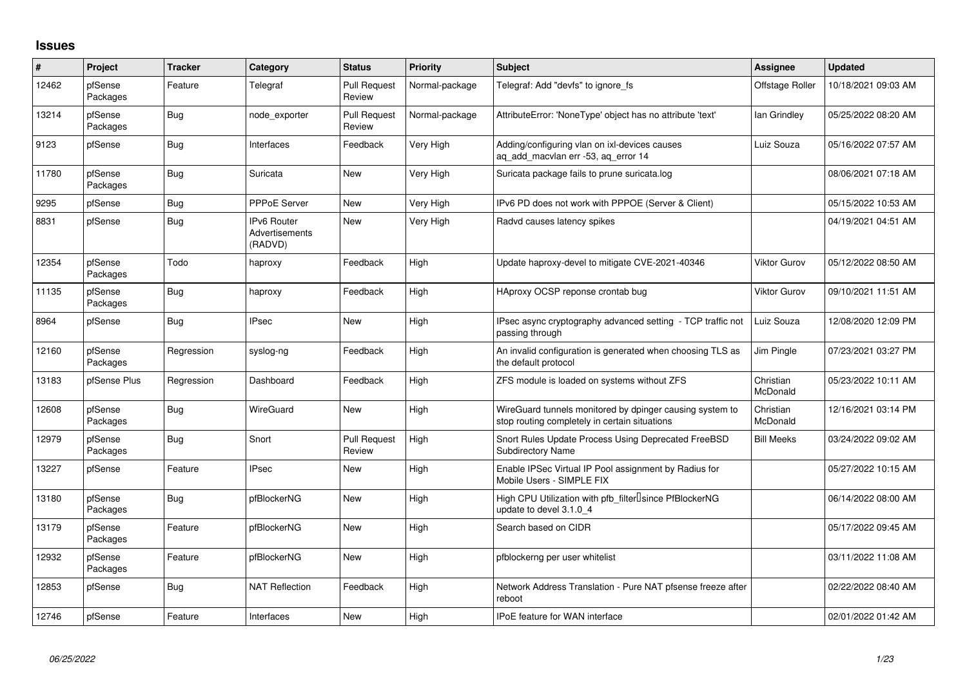## **Issues**

| ∦     | Project             | <b>Tracker</b> | Category                                 | <b>Status</b>                 | <b>Priority</b> | <b>Subject</b>                                                                                            | Assignee              | <b>Updated</b>      |
|-------|---------------------|----------------|------------------------------------------|-------------------------------|-----------------|-----------------------------------------------------------------------------------------------------------|-----------------------|---------------------|
| 12462 | pfSense<br>Packages | Feature        | Telegraf                                 | <b>Pull Request</b><br>Review | Normal-package  | Telegraf: Add "devfs" to ignore_fs                                                                        | Offstage Roller       | 10/18/2021 09:03 AM |
| 13214 | pfSense<br>Packages | Bug            | node exporter                            | <b>Pull Request</b><br>Review | Normal-package  | AttributeError: 'NoneType' object has no attribute 'text'                                                 | lan Grindley          | 05/25/2022 08:20 AM |
| 9123  | pfSense             | Bug            | Interfaces                               | Feedback                      | Very High       | Adding/configuring vlan on ixl-devices causes<br>ag add macylan err -53, ag error 14                      | Luiz Souza            | 05/16/2022 07:57 AM |
| 11780 | pfSense<br>Packages | <b>Bug</b>     | Suricata                                 | New                           | Very High       | Suricata package fails to prune suricata.log                                                              |                       | 08/06/2021 07:18 AM |
| 9295  | pfSense             | Bug            | <b>PPPoE Server</b>                      | New                           | Very High       | IPv6 PD does not work with PPPOE (Server & Client)                                                        |                       | 05/15/2022 10:53 AM |
| 8831  | pfSense             | <b>Bug</b>     | IPv6 Router<br>Advertisements<br>(RADVD) | New                           | Very High       | Radvd causes latency spikes                                                                               |                       | 04/19/2021 04:51 AM |
| 12354 | pfSense<br>Packages | Todo           | haproxy                                  | Feedback                      | High            | Update haproxy-devel to mitigate CVE-2021-40346                                                           | <b>Viktor Gurov</b>   | 05/12/2022 08:50 AM |
| 11135 | pfSense<br>Packages | Bug            | haproxy                                  | Feedback                      | High            | HAproxy OCSP reponse crontab bug                                                                          | <b>Viktor Gurov</b>   | 09/10/2021 11:51 AM |
| 8964  | pfSense             | Bug            | <b>IPsec</b>                             | New                           | High            | IPsec async cryptography advanced setting - TCP traffic not<br>passing through                            | Luiz Souza            | 12/08/2020 12:09 PM |
| 12160 | pfSense<br>Packages | Regression     | syslog-ng                                | Feedback                      | High            | An invalid configuration is generated when choosing TLS as<br>the default protocol                        | Jim Pingle            | 07/23/2021 03:27 PM |
| 13183 | pfSense Plus        | Regression     | Dashboard                                | Feedback                      | High            | ZFS module is loaded on systems without ZFS                                                               | Christian<br>McDonald | 05/23/2022 10:11 AM |
| 12608 | pfSense<br>Packages | Bug            | WireGuard                                | New                           | High            | WireGuard tunnels monitored by dpinger causing system to<br>stop routing completely in certain situations | Christian<br>McDonald | 12/16/2021 03:14 PM |
| 12979 | pfSense<br>Packages | Bug            | Snort                                    | <b>Pull Request</b><br>Review | High            | Snort Rules Update Process Using Deprecated FreeBSD<br><b>Subdirectory Name</b>                           | <b>Bill Meeks</b>     | 03/24/2022 09:02 AM |
| 13227 | pfSense             | Feature        | <b>IPsec</b>                             | New                           | High            | Enable IPSec Virtual IP Pool assignment by Radius for<br>Mobile Users - SIMPLE FIX                        |                       | 05/27/2022 10:15 AM |
| 13180 | pfSense<br>Packages | Bug            | pfBlockerNG                              | New                           | High            | High CPU Utilization with pfb_filter <sup>[]</sup> since PfBlockerNG<br>update to devel 3.1.0_4           |                       | 06/14/2022 08:00 AM |
| 13179 | pfSense<br>Packages | Feature        | pfBlockerNG                              | New                           | High            | Search based on CIDR                                                                                      |                       | 05/17/2022 09:45 AM |
| 12932 | pfSense<br>Packages | Feature        | pfBlockerNG                              | New                           | High            | pfblockerng per user whitelist                                                                            |                       | 03/11/2022 11:08 AM |
| 12853 | pfSense             | Bug            | <b>NAT Reflection</b>                    | Feedback                      | High            | Network Address Translation - Pure NAT pfsense freeze after<br>reboot                                     |                       | 02/22/2022 08:40 AM |
| 12746 | pfSense             | Feature        | Interfaces                               | New                           | High            | <b>IPoE</b> feature for WAN interface                                                                     |                       | 02/01/2022 01:42 AM |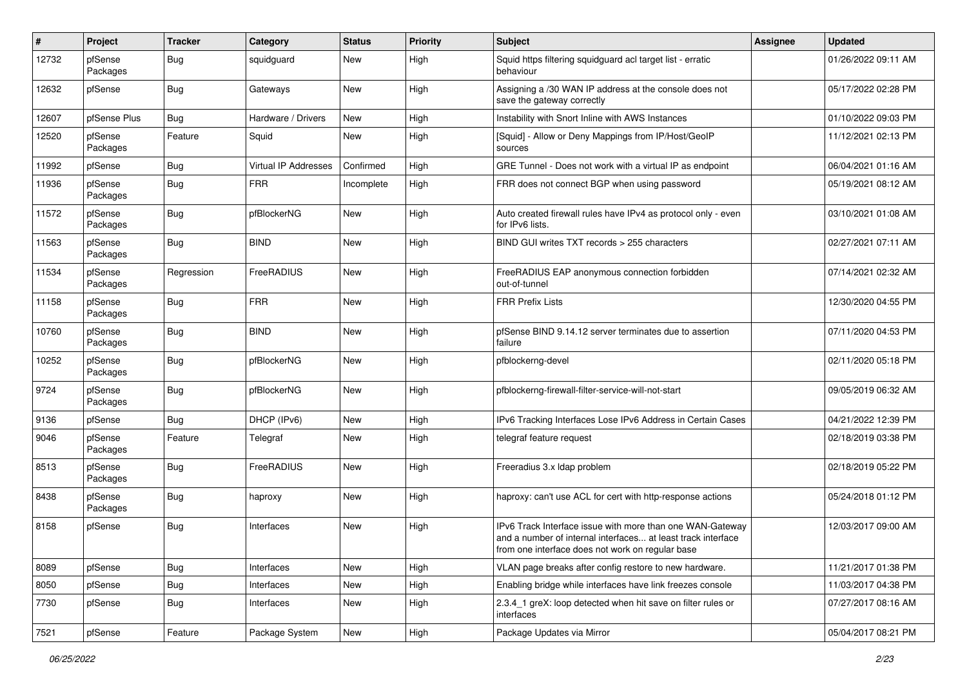| #     | Project             | <b>Tracker</b> | Category             | <b>Status</b> | <b>Priority</b> | <b>Subject</b>                                                                                                                                                                | Assignee | <b>Updated</b>      |
|-------|---------------------|----------------|----------------------|---------------|-----------------|-------------------------------------------------------------------------------------------------------------------------------------------------------------------------------|----------|---------------------|
| 12732 | pfSense<br>Packages | <b>Bug</b>     | squidguard           | New           | High            | Squid https filtering squidguard acl target list - erratic<br>behaviour                                                                                                       |          | 01/26/2022 09:11 AM |
| 12632 | pfSense             | <b>Bug</b>     | Gateways             | New           | High            | Assigning a /30 WAN IP address at the console does not<br>save the gateway correctly                                                                                          |          | 05/17/2022 02:28 PM |
| 12607 | pfSense Plus        | Bug            | Hardware / Drivers   | New           | High            | Instability with Snort Inline with AWS Instances                                                                                                                              |          | 01/10/2022 09:03 PM |
| 12520 | pfSense<br>Packages | Feature        | Squid                | New           | High            | [Squid] - Allow or Deny Mappings from IP/Host/GeoIP<br>sources                                                                                                                |          | 11/12/2021 02:13 PM |
| 11992 | pfSense             | <b>Bug</b>     | Virtual IP Addresses | Confirmed     | High            | GRE Tunnel - Does not work with a virtual IP as endpoint                                                                                                                      |          | 06/04/2021 01:16 AM |
| 11936 | pfSense<br>Packages | <b>Bug</b>     | <b>FRR</b>           | Incomplete    | High            | FRR does not connect BGP when using password                                                                                                                                  |          | 05/19/2021 08:12 AM |
| 11572 | pfSense<br>Packages | <b>Bug</b>     | pfBlockerNG          | New           | High            | Auto created firewall rules have IPv4 as protocol only - even<br>for IPv6 lists.                                                                                              |          | 03/10/2021 01:08 AM |
| 11563 | pfSense<br>Packages | Bug            | <b>BIND</b>          | New           | High            | BIND GUI writes TXT records > 255 characters                                                                                                                                  |          | 02/27/2021 07:11 AM |
| 11534 | pfSense<br>Packages | Regression     | FreeRADIUS           | New           | High            | FreeRADIUS EAP anonymous connection forbidden<br>out-of-tunnel                                                                                                                |          | 07/14/2021 02:32 AM |
| 11158 | pfSense<br>Packages | Bug            | <b>FRR</b>           | New           | High            | <b>FRR Prefix Lists</b>                                                                                                                                                       |          | 12/30/2020 04:55 PM |
| 10760 | pfSense<br>Packages | <b>Bug</b>     | <b>BIND</b>          | New           | High            | pfSense BIND 9.14.12 server terminates due to assertion<br>failure                                                                                                            |          | 07/11/2020 04:53 PM |
| 10252 | pfSense<br>Packages | <b>Bug</b>     | pfBlockerNG          | New           | High            | pfblockerng-devel                                                                                                                                                             |          | 02/11/2020 05:18 PM |
| 9724  | pfSense<br>Packages | <b>Bug</b>     | pfBlockerNG          | New           | High            | pfblockerng-firewall-filter-service-will-not-start                                                                                                                            |          | 09/05/2019 06:32 AM |
| 9136  | pfSense             | Bug            | DHCP (IPv6)          | New           | High            | IPv6 Tracking Interfaces Lose IPv6 Address in Certain Cases                                                                                                                   |          | 04/21/2022 12:39 PM |
| 9046  | pfSense<br>Packages | Feature        | Telegraf             | New           | High            | telegraf feature request                                                                                                                                                      |          | 02/18/2019 03:38 PM |
| 8513  | pfSense<br>Packages | <b>Bug</b>     | FreeRADIUS           | New           | High            | Freeradius 3.x Idap problem                                                                                                                                                   |          | 02/18/2019 05:22 PM |
| 8438  | pfSense<br>Packages | <b>Bug</b>     | haproxy              | New           | High            | haproxy: can't use ACL for cert with http-response actions                                                                                                                    |          | 05/24/2018 01:12 PM |
| 8158  | pfSense             | Bug            | Interfaces           | New           | High            | IPv6 Track Interface issue with more than one WAN-Gateway<br>and a number of internal interfaces at least track interface<br>from one interface does not work on regular base |          | 12/03/2017 09:00 AM |
| 8089  | pfSense             | <b>Bug</b>     | Interfaces           | New           | High            | VLAN page breaks after config restore to new hardware.                                                                                                                        |          | 11/21/2017 01:38 PM |
| 8050  | pfSense             | Bug            | Interfaces           | New           | High            | Enabling bridge while interfaces have link freezes console                                                                                                                    |          | 11/03/2017 04:38 PM |
| 7730  | pfSense             | <b>Bug</b>     | Interfaces           | New           | High            | 2.3.4_1 greX: loop detected when hit save on filter rules or<br>interfaces                                                                                                    |          | 07/27/2017 08:16 AM |
| 7521  | pfSense             | Feature        | Package System       | New           | High            | Package Updates via Mirror                                                                                                                                                    |          | 05/04/2017 08:21 PM |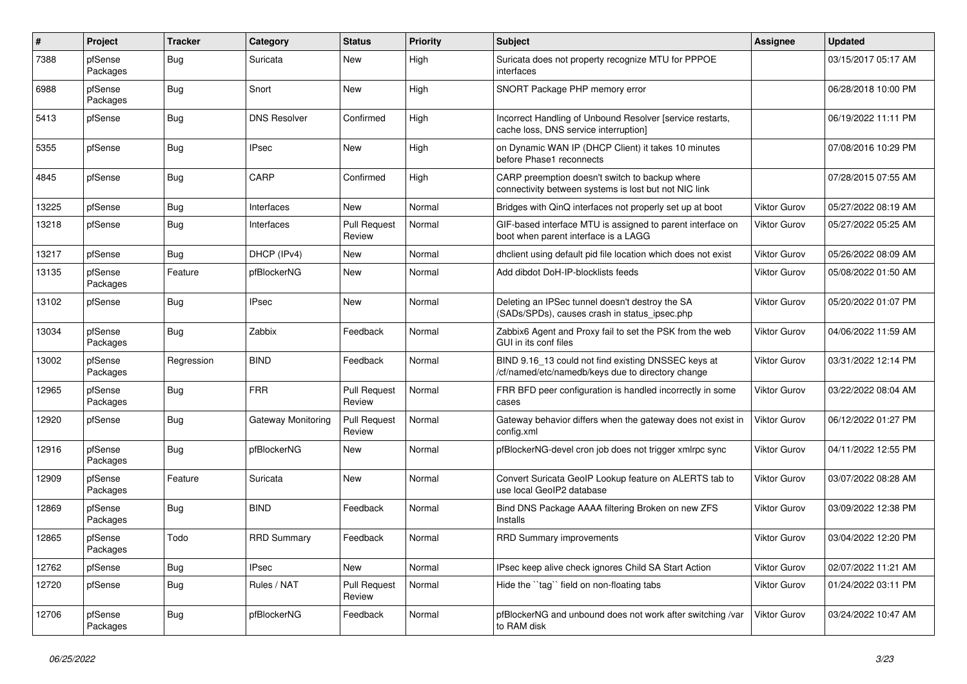| #     | Project             | <b>Tracker</b> | Category            | <b>Status</b>                 | <b>Priority</b> | <b>Subject</b>                                                                                           | Assignee            | <b>Updated</b>      |
|-------|---------------------|----------------|---------------------|-------------------------------|-----------------|----------------------------------------------------------------------------------------------------------|---------------------|---------------------|
| 7388  | pfSense<br>Packages | <b>Bug</b>     | Suricata            | New                           | High            | Suricata does not property recognize MTU for PPPOE<br>interfaces                                         |                     | 03/15/2017 05:17 AM |
| 6988  | pfSense<br>Packages | <b>Bug</b>     | Snort               | New                           | High            | SNORT Package PHP memory error                                                                           |                     | 06/28/2018 10:00 PM |
| 5413  | pfSense             | <b>Bug</b>     | <b>DNS Resolver</b> | Confirmed                     | High            | Incorrect Handling of Unbound Resolver [service restarts,<br>cache loss, DNS service interruption]       |                     | 06/19/2022 11:11 PM |
| 5355  | pfSense             | <b>Bug</b>     | <b>IPsec</b>        | New                           | High            | on Dynamic WAN IP (DHCP Client) it takes 10 minutes<br>before Phase1 reconnects                          |                     | 07/08/2016 10:29 PM |
| 4845  | pfSense             | <b>Bug</b>     | CARP                | Confirmed                     | High            | CARP preemption doesn't switch to backup where<br>connectivity between systems is lost but not NIC link  |                     | 07/28/2015 07:55 AM |
| 13225 | pfSense             | <b>Bug</b>     | Interfaces          | New                           | Normal          | Bridges with QinQ interfaces not properly set up at boot                                                 | <b>Viktor Gurov</b> | 05/27/2022 08:19 AM |
| 13218 | pfSense             | <b>Bug</b>     | Interfaces          | <b>Pull Request</b><br>Review | Normal          | GIF-based interface MTU is assigned to parent interface on<br>boot when parent interface is a LAGG       | <b>Viktor Gurov</b> | 05/27/2022 05:25 AM |
| 13217 | pfSense             | Bug            | DHCP (IPv4)         | New                           | Normal          | dhclient using default pid file location which does not exist                                            | <b>Viktor Gurov</b> | 05/26/2022 08:09 AM |
| 13135 | pfSense<br>Packages | Feature        | pfBlockerNG         | New                           | Normal          | Add dibdot DoH-IP-blocklists feeds                                                                       | <b>Viktor Gurov</b> | 05/08/2022 01:50 AM |
| 13102 | pfSense             | <b>Bug</b>     | <b>IPsec</b>        | New                           | Normal          | Deleting an IPSec tunnel doesn't destroy the SA<br>(SADs/SPDs), causes crash in status_ipsec.php         | <b>Viktor Gurov</b> | 05/20/2022 01:07 PM |
| 13034 | pfSense<br>Packages | Bug            | Zabbix              | Feedback                      | Normal          | Zabbix6 Agent and Proxy fail to set the PSK from the web<br>GUI in its conf files                        | Viktor Gurov        | 04/06/2022 11:59 AM |
| 13002 | pfSense<br>Packages | Regression     | <b>BIND</b>         | Feedback                      | Normal          | BIND 9.16_13 could not find existing DNSSEC keys at<br>/cf/named/etc/namedb/keys due to directory change | <b>Viktor Gurov</b> | 03/31/2022 12:14 PM |
| 12965 | pfSense<br>Packages | <b>Bug</b>     | <b>FRR</b>          | <b>Pull Request</b><br>Review | Normal          | FRR BFD peer configuration is handled incorrectly in some<br>cases                                       | Viktor Gurov        | 03/22/2022 08:04 AM |
| 12920 | pfSense             | Bug            | Gateway Monitoring  | <b>Pull Request</b><br>Review | Normal          | Gateway behavior differs when the gateway does not exist in<br>config.xml                                | Viktor Gurov        | 06/12/2022 01:27 PM |
| 12916 | pfSense<br>Packages | <b>Bug</b>     | pfBlockerNG         | New                           | Normal          | pfBlockerNG-devel cron job does not trigger xmlrpc sync                                                  | <b>Viktor Gurov</b> | 04/11/2022 12:55 PM |
| 12909 | pfSense<br>Packages | Feature        | Suricata            | New                           | Normal          | Convert Suricata GeoIP Lookup feature on ALERTS tab to<br>use local GeoIP2 database                      | <b>Viktor Gurov</b> | 03/07/2022 08:28 AM |
| 12869 | pfSense<br>Packages | Bug            | <b>BIND</b>         | Feedback                      | Normal          | Bind DNS Package AAAA filtering Broken on new ZFS<br>Installs                                            | <b>Viktor Gurov</b> | 03/09/2022 12:38 PM |
| 12865 | pfSense<br>Packages | Todo           | <b>RRD Summary</b>  | Feedback                      | Normal          | RRD Summary improvements                                                                                 | <b>Viktor Gurov</b> | 03/04/2022 12:20 PM |
| 12762 | pfSense             | Bug            | <b>IPsec</b>        | New                           | Normal          | IPsec keep alive check ignores Child SA Start Action                                                     | <b>Viktor Gurov</b> | 02/07/2022 11:21 AM |
| 12720 | pfSense             | <b>Bug</b>     | Rules / NAT         | <b>Pull Request</b><br>Review | Normal          | Hide the "tag" field on non-floating tabs                                                                | Viktor Gurov        | 01/24/2022 03:11 PM |
| 12706 | pfSense<br>Packages | Bug            | pfBlockerNG         | Feedback                      | Normal          | pfBlockerNG and unbound does not work after switching /var<br>to RAM disk                                | Viktor Gurov        | 03/24/2022 10:47 AM |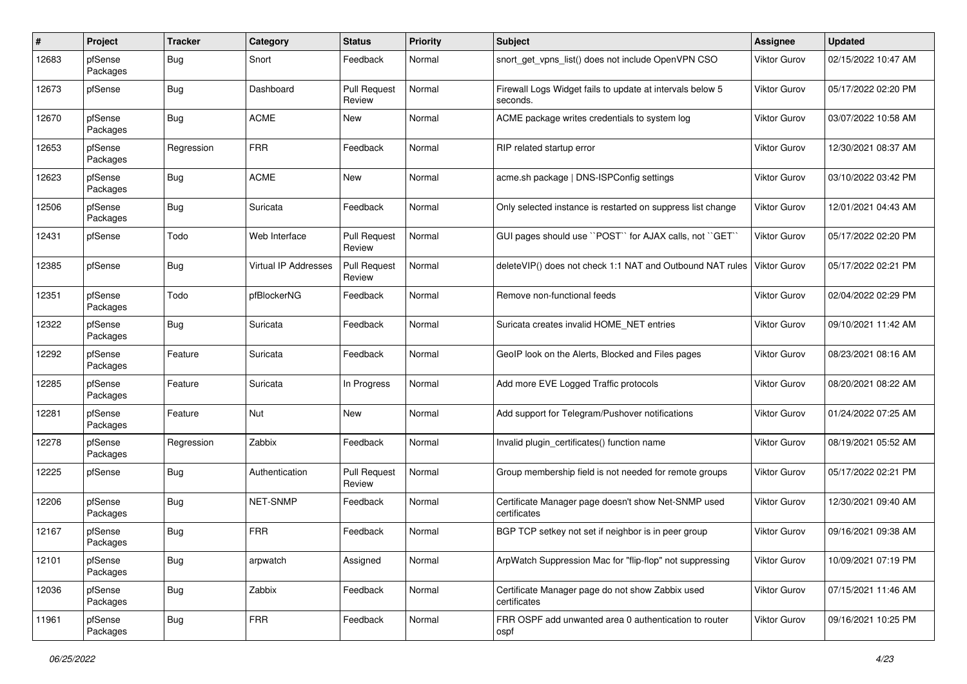| #     | Project             | <b>Tracker</b> | Category                    | <b>Status</b>                 | <b>Priority</b> | <b>Subject</b>                                                        | <b>Assignee</b>     | <b>Updated</b>      |
|-------|---------------------|----------------|-----------------------------|-------------------------------|-----------------|-----------------------------------------------------------------------|---------------------|---------------------|
| 12683 | pfSense<br>Packages | <b>Bug</b>     | Snort                       | Feedback                      | Normal          | snort get vpns list() does not include OpenVPN CSO                    | Viktor Gurov        | 02/15/2022 10:47 AM |
| 12673 | pfSense             | Bug            | Dashboard                   | <b>Pull Request</b><br>Review | Normal          | Firewall Logs Widget fails to update at intervals below 5<br>seconds. | Viktor Gurov        | 05/17/2022 02:20 PM |
| 12670 | pfSense<br>Packages | <b>Bug</b>     | <b>ACME</b>                 | New                           | Normal          | ACME package writes credentials to system log                         | Viktor Gurov        | 03/07/2022 10:58 AM |
| 12653 | pfSense<br>Packages | Regression     | <b>FRR</b>                  | Feedback                      | Normal          | RIP related startup error                                             | Viktor Gurov        | 12/30/2021 08:37 AM |
| 12623 | pfSense<br>Packages | <b>Bug</b>     | <b>ACME</b>                 | New                           | Normal          | acme.sh package   DNS-ISPConfig settings                              | <b>Viktor Gurov</b> | 03/10/2022 03:42 PM |
| 12506 | pfSense<br>Packages | Bug            | Suricata                    | Feedback                      | Normal          | Only selected instance is restarted on suppress list change           | <b>Viktor Gurov</b> | 12/01/2021 04:43 AM |
| 12431 | pfSense             | Todo           | Web Interface               | <b>Pull Request</b><br>Review | Normal          | GUI pages should use "POST" for AJAX calls, not "GET"                 | Viktor Gurov        | 05/17/2022 02:20 PM |
| 12385 | pfSense             | Bug            | <b>Virtual IP Addresses</b> | <b>Pull Request</b><br>Review | Normal          | deleteVIP() does not check 1:1 NAT and Outbound NAT rules             | <b>Viktor Gurov</b> | 05/17/2022 02:21 PM |
| 12351 | pfSense<br>Packages | Todo           | pfBlockerNG                 | Feedback                      | Normal          | Remove non-functional feeds                                           | Viktor Gurov        | 02/04/2022 02:29 PM |
| 12322 | pfSense<br>Packages | <b>Bug</b>     | Suricata                    | Feedback                      | Normal          | Suricata creates invalid HOME NET entries                             | Viktor Gurov        | 09/10/2021 11:42 AM |
| 12292 | pfSense<br>Packages | Feature        | Suricata                    | Feedback                      | Normal          | GeoIP look on the Alerts, Blocked and Files pages                     | Viktor Gurov        | 08/23/2021 08:16 AM |
| 12285 | pfSense<br>Packages | Feature        | Suricata                    | In Progress                   | Normal          | Add more EVE Logged Traffic protocols                                 | Viktor Gurov        | 08/20/2021 08:22 AM |
| 12281 | pfSense<br>Packages | Feature        | Nut                         | New                           | Normal          | Add support for Telegram/Pushover notifications                       | Viktor Gurov        | 01/24/2022 07:25 AM |
| 12278 | pfSense<br>Packages | Regression     | Zabbix                      | Feedback                      | Normal          | Invalid plugin_certificates() function name                           | Viktor Gurov        | 08/19/2021 05:52 AM |
| 12225 | pfSense             | <b>Bug</b>     | Authentication              | <b>Pull Request</b><br>Review | Normal          | Group membership field is not needed for remote groups                | Viktor Gurov        | 05/17/2022 02:21 PM |
| 12206 | pfSense<br>Packages | <b>Bug</b>     | NET-SNMP                    | Feedback                      | Normal          | Certificate Manager page doesn't show Net-SNMP used<br>certificates   | Viktor Gurov        | 12/30/2021 09:40 AM |
| 12167 | pfSense<br>Packages | <b>Bug</b>     | <b>FRR</b>                  | Feedback                      | Normal          | BGP TCP setkey not set if neighbor is in peer group                   | Viktor Gurov        | 09/16/2021 09:38 AM |
| 12101 | pfSense<br>Packages | <b>Bug</b>     | arpwatch                    | Assigned                      | Normal          | ArpWatch Suppression Mac for "flip-flop" not suppressing              | Viktor Gurov        | 10/09/2021 07:19 PM |
| 12036 | pfSense<br>Packages | <b>Bug</b>     | Zabbix                      | Feedback                      | Normal          | Certificate Manager page do not show Zabbix used<br>certificates      | <b>Viktor Gurov</b> | 07/15/2021 11:46 AM |
| 11961 | pfSense<br>Packages | <b>Bug</b>     | <b>FRR</b>                  | Feedback                      | Normal          | FRR OSPF add unwanted area 0 authentication to router<br>ospf         | Viktor Gurov        | 09/16/2021 10:25 PM |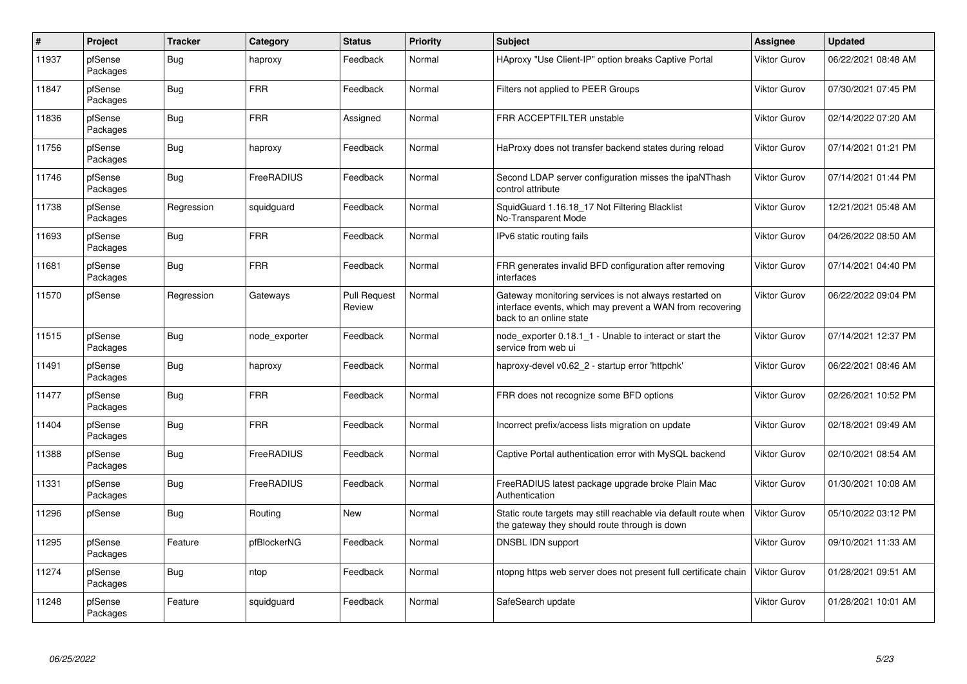| $\vert$ # | Project             | <b>Tracker</b> | Category      | <b>Status</b>                 | <b>Priority</b> | <b>Subject</b>                                                                                                                                 | <b>Assignee</b>     | Updated             |
|-----------|---------------------|----------------|---------------|-------------------------------|-----------------|------------------------------------------------------------------------------------------------------------------------------------------------|---------------------|---------------------|
| 11937     | pfSense<br>Packages | Bug            | haproxy       | Feedback                      | Normal          | HAproxy "Use Client-IP" option breaks Captive Portal                                                                                           | <b>Viktor Gurov</b> | 06/22/2021 08:48 AM |
| 11847     | pfSense<br>Packages | <b>Bug</b>     | <b>FRR</b>    | Feedback                      | Normal          | Filters not applied to PEER Groups                                                                                                             | <b>Viktor Gurov</b> | 07/30/2021 07:45 PM |
| 11836     | pfSense<br>Packages | <b>Bug</b>     | <b>FRR</b>    | Assigned                      | Normal          | FRR ACCEPTFILTER unstable                                                                                                                      | <b>Viktor Gurov</b> | 02/14/2022 07:20 AM |
| 11756     | pfSense<br>Packages | <b>Bug</b>     | haproxy       | Feedback                      | Normal          | HaProxy does not transfer backend states during reload                                                                                         | <b>Viktor Gurov</b> | 07/14/2021 01:21 PM |
| 11746     | pfSense<br>Packages | Bug            | FreeRADIUS    | Feedback                      | Normal          | Second LDAP server configuration misses the ipaNThash<br>control attribute                                                                     | <b>Viktor Gurov</b> | 07/14/2021 01:44 PM |
| 11738     | pfSense<br>Packages | Regression     | squidguard    | Feedback                      | Normal          | SquidGuard 1.16.18 17 Not Filtering Blacklist<br>No-Transparent Mode                                                                           | <b>Viktor Gurov</b> | 12/21/2021 05:48 AM |
| 11693     | pfSense<br>Packages | <b>Bug</b>     | <b>FRR</b>    | Feedback                      | Normal          | IPv6 static routing fails                                                                                                                      | <b>Viktor Gurov</b> | 04/26/2022 08:50 AM |
| 11681     | pfSense<br>Packages | <b>Bug</b>     | <b>FRR</b>    | Feedback                      | Normal          | FRR generates invalid BFD configuration after removing<br>interfaces                                                                           | Viktor Gurov        | 07/14/2021 04:40 PM |
| 11570     | pfSense             | Regression     | Gateways      | <b>Pull Request</b><br>Review | Normal          | Gateway monitoring services is not always restarted on<br>interface events, which may prevent a WAN from recovering<br>back to an online state | Viktor Gurov        | 06/22/2022 09:04 PM |
| 11515     | pfSense<br>Packages | <b>Bug</b>     | node exporter | Feedback                      | Normal          | node exporter 0.18.1 1 - Unable to interact or start the<br>service from web ui                                                                | <b>Viktor Gurov</b> | 07/14/2021 12:37 PM |
| 11491     | pfSense<br>Packages | Bug            | haproxy       | Feedback                      | Normal          | haproxy-devel v0.62 2 - startup error 'httpchk'                                                                                                | <b>Viktor Gurov</b> | 06/22/2021 08:46 AM |
| 11477     | pfSense<br>Packages | Bug            | <b>FRR</b>    | Feedback                      | Normal          | FRR does not recognize some BFD options                                                                                                        | <b>Viktor Gurov</b> | 02/26/2021 10:52 PM |
| 11404     | pfSense<br>Packages | Bug            | <b>FRR</b>    | Feedback                      | Normal          | Incorrect prefix/access lists migration on update                                                                                              | <b>Viktor Gurov</b> | 02/18/2021 09:49 AM |
| 11388     | pfSense<br>Packages | <b>Bug</b>     | FreeRADIUS    | Feedback                      | Normal          | Captive Portal authentication error with MySQL backend                                                                                         | <b>Viktor Gurov</b> | 02/10/2021 08:54 AM |
| 11331     | pfSense<br>Packages | <b>Bug</b>     | FreeRADIUS    | Feedback                      | Normal          | FreeRADIUS latest package upgrade broke Plain Mac<br>Authentication                                                                            | <b>Viktor Gurov</b> | 01/30/2021 10:08 AM |
| 11296     | pfSense             | Bug            | Routing       | New                           | Normal          | Static route targets may still reachable via default route when<br>the gateway they should route through is down                               | <b>Viktor Gurov</b> | 05/10/2022 03:12 PM |
| 11295     | pfSense<br>Packages | Feature        | pfBlockerNG   | Feedback                      | Normal          | DNSBL IDN support                                                                                                                              | <b>Viktor Gurov</b> | 09/10/2021 11:33 AM |
| 11274     | pfSense<br>Packages | Bug            | ntop          | Feedback                      | Normal          | ntopng https web server does not present full certificate chain                                                                                | <b>Viktor Gurov</b> | 01/28/2021 09:51 AM |
| 11248     | pfSense<br>Packages | Feature        | squidguard    | Feedback                      | Normal          | SafeSearch update                                                                                                                              | <b>Viktor Gurov</b> | 01/28/2021 10:01 AM |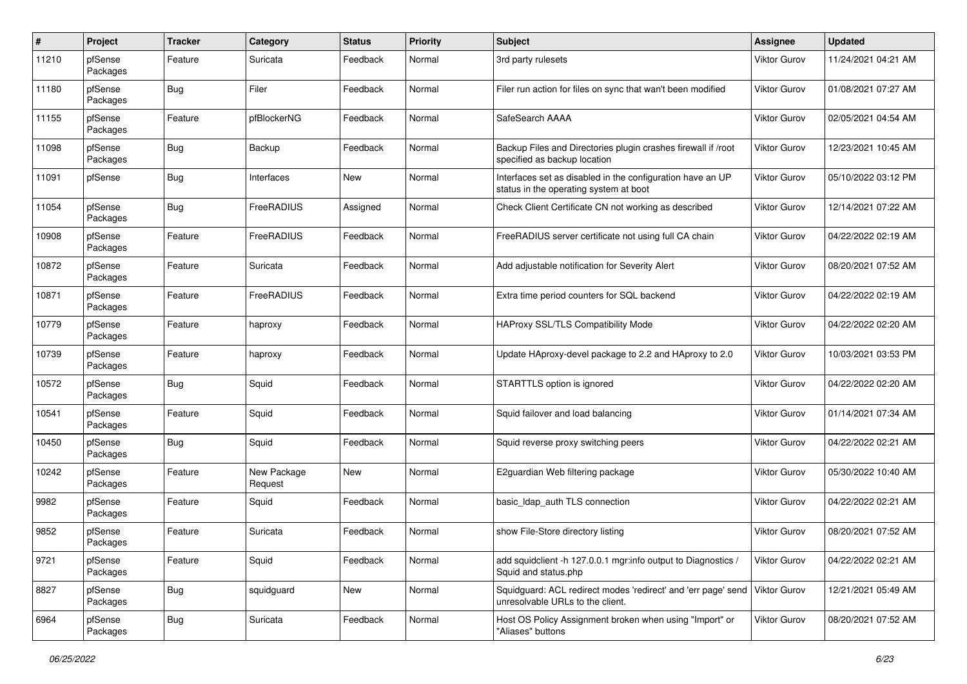| $\pmb{\#}$ | Project             | <b>Tracker</b> | Category               | <b>Status</b> | <b>Priority</b> | <b>Subject</b>                                                                                       | <b>Assignee</b>     | <b>Updated</b>      |
|------------|---------------------|----------------|------------------------|---------------|-----------------|------------------------------------------------------------------------------------------------------|---------------------|---------------------|
| 11210      | pfSense<br>Packages | Feature        | Suricata               | Feedback      | Normal          | 3rd party rulesets                                                                                   | Viktor Gurov        | 11/24/2021 04:21 AM |
| 11180      | pfSense<br>Packages | Bug            | Filer                  | Feedback      | Normal          | Filer run action for files on sync that wan't been modified                                          | Viktor Gurov        | 01/08/2021 07:27 AM |
| 11155      | pfSense<br>Packages | Feature        | pfBlockerNG            | Feedback      | Normal          | SafeSearch AAAA                                                                                      | Viktor Gurov        | 02/05/2021 04:54 AM |
| 11098      | pfSense<br>Packages | Bug            | Backup                 | Feedback      | Normal          | Backup Files and Directories plugin crashes firewall if /root<br>specified as backup location        | Viktor Gurov        | 12/23/2021 10:45 AM |
| 11091      | pfSense             | Bug            | Interfaces             | New           | Normal          | Interfaces set as disabled in the configuration have an UP<br>status in the operating system at boot | Viktor Gurov        | 05/10/2022 03:12 PM |
| 11054      | pfSense<br>Packages | Bug            | FreeRADIUS             | Assigned      | Normal          | Check Client Certificate CN not working as described                                                 | Viktor Gurov        | 12/14/2021 07:22 AM |
| 10908      | pfSense<br>Packages | Feature        | FreeRADIUS             | Feedback      | Normal          | FreeRADIUS server certificate not using full CA chain                                                | <b>Viktor Gurov</b> | 04/22/2022 02:19 AM |
| 10872      | pfSense<br>Packages | Feature        | Suricata               | Feedback      | Normal          | Add adjustable notification for Severity Alert                                                       | Viktor Gurov        | 08/20/2021 07:52 AM |
| 10871      | pfSense<br>Packages | Feature        | FreeRADIUS             | Feedback      | Normal          | Extra time period counters for SQL backend                                                           | <b>Viktor Gurov</b> | 04/22/2022 02:19 AM |
| 10779      | pfSense<br>Packages | Feature        | haproxy                | Feedback      | Normal          | HAProxy SSL/TLS Compatibility Mode                                                                   | <b>Viktor Gurov</b> | 04/22/2022 02:20 AM |
| 10739      | pfSense<br>Packages | Feature        | haproxy                | Feedback      | Normal          | Update HAproxy-devel package to 2.2 and HAproxy to 2.0                                               | Viktor Gurov        | 10/03/2021 03:53 PM |
| 10572      | pfSense<br>Packages | Bug            | Squid                  | Feedback      | Normal          | STARTTLS option is ignored                                                                           | Viktor Gurov        | 04/22/2022 02:20 AM |
| 10541      | pfSense<br>Packages | Feature        | Squid                  | Feedback      | Normal          | Squid failover and load balancing                                                                    | Viktor Gurov        | 01/14/2021 07:34 AM |
| 10450      | pfSense<br>Packages | Bug            | Squid                  | Feedback      | Normal          | Squid reverse proxy switching peers                                                                  | Viktor Gurov        | 04/22/2022 02:21 AM |
| 10242      | pfSense<br>Packages | Feature        | New Package<br>Request | New           | Normal          | E2guardian Web filtering package                                                                     | Viktor Gurov        | 05/30/2022 10:40 AM |
| 9982       | pfSense<br>Packages | Feature        | Squid                  | Feedback      | Normal          | basic Idap auth TLS connection                                                                       | <b>Viktor Gurov</b> | 04/22/2022 02:21 AM |
| 9852       | pfSense<br>Packages | Feature        | Suricata               | Feedback      | Normal          | show File-Store directory listing                                                                    | <b>Viktor Gurov</b> | 08/20/2021 07:52 AM |
| 9721       | pfSense<br>Packages | Feature        | Squid                  | Feedback      | Normal          | add squidclient -h 127.0.0.1 mgr:info output to Diagnostics /<br>Squid and status.php                | Viktor Gurov        | 04/22/2022 02:21 AM |
| 8827       | pfSense<br>Packages | <b>Bug</b>     | squidguard             | New           | Normal          | Squidguard: ACL redirect modes 'redirect' and 'err page' send<br>unresolvable URLs to the client.    | Viktor Gurov        | 12/21/2021 05:49 AM |
| 6964       | pfSense<br>Packages | <b>Bug</b>     | Suricata               | Feedback      | Normal          | Host OS Policy Assignment broken when using "Import" or<br>"Aliases" buttons                         | <b>Viktor Gurov</b> | 08/20/2021 07:52 AM |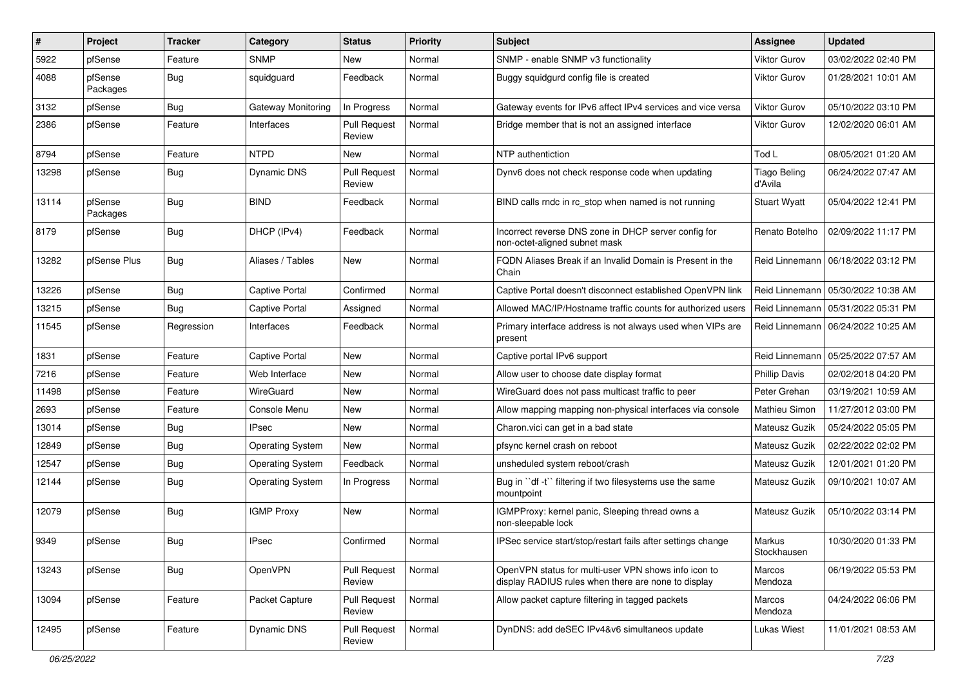| #     | Project             | <b>Tracker</b> | Category                | <b>Status</b>                 | <b>Priority</b> | Subject                                                                                                     | <b>Assignee</b>                | <b>Updated</b>                       |
|-------|---------------------|----------------|-------------------------|-------------------------------|-----------------|-------------------------------------------------------------------------------------------------------------|--------------------------------|--------------------------------------|
| 5922  | pfSense             | Feature        | <b>SNMP</b>             | New                           | Normal          | SNMP - enable SNMP v3 functionality                                                                         | Viktor Gurov                   | 03/02/2022 02:40 PM                  |
| 4088  | pfSense<br>Packages | Bug            | squidguard              | Feedback                      | Normal          | Buggy squidgurd config file is created                                                                      | Viktor Gurov                   | 01/28/2021 10:01 AM                  |
| 3132  | pfSense             | <b>Bug</b>     | Gateway Monitoring      | In Progress                   | Normal          | Gateway events for IPv6 affect IPv4 services and vice versa                                                 | <b>Viktor Gurov</b>            | 05/10/2022 03:10 PM                  |
| 2386  | pfSense             | Feature        | Interfaces              | <b>Pull Request</b><br>Review | Normal          | Bridge member that is not an assigned interface                                                             | Viktor Gurov                   | 12/02/2020 06:01 AM                  |
| 8794  | pfSense             | Feature        | <b>NTPD</b>             | New                           | Normal          | NTP authentiction                                                                                           | Tod L                          | 08/05/2021 01:20 AM                  |
| 13298 | pfSense             | <b>Bug</b>     | Dynamic DNS             | <b>Pull Request</b><br>Review | Normal          | Dynv6 does not check response code when updating                                                            | <b>Tiago Beling</b><br>d'Avila | 06/24/2022 07:47 AM                  |
| 13114 | pfSense<br>Packages | <b>Bug</b>     | <b>BIND</b>             | Feedback                      | Normal          | BIND calls rndc in rc stop when named is not running                                                        | <b>Stuart Wyatt</b>            | 05/04/2022 12:41 PM                  |
| 8179  | pfSense             | <b>Bug</b>     | DHCP (IPv4)             | Feedback                      | Normal          | Incorrect reverse DNS zone in DHCP server config for<br>non-octet-aligned subnet mask                       | Renato Botelho                 | 02/09/2022 11:17 PM                  |
| 13282 | pfSense Plus        | <b>Bug</b>     | Aliases / Tables        | New                           | Normal          | FQDN Aliases Break if an Invalid Domain is Present in the<br>Chain                                          |                                | Reid Linnemann   06/18/2022 03:12 PM |
| 13226 | pfSense             | <b>Bug</b>     | Captive Portal          | Confirmed                     | Normal          | Captive Portal doesn't disconnect established OpenVPN link                                                  | Reid Linnemann                 | 05/30/2022 10:38 AM                  |
| 13215 | pfSense             | Bug            | Captive Portal          | Assigned                      | Normal          | Allowed MAC/IP/Hostname traffic counts for authorized users                                                 | Reid Linnemann                 | 05/31/2022 05:31 PM                  |
| 11545 | pfSense             | Regression     | Interfaces              | Feedback                      | Normal          | Primary interface address is not always used when VIPs are<br>present                                       |                                | Reid Linnemann   06/24/2022 10:25 AM |
| 1831  | pfSense             | Feature        | Captive Portal          | New                           | Normal          | Captive portal IPv6 support                                                                                 | Reid Linnemann                 | 05/25/2022 07:57 AM                  |
| 7216  | pfSense             | Feature        | Web Interface           | New                           | Normal          | Allow user to choose date display format                                                                    | <b>Phillip Davis</b>           | 02/02/2018 04:20 PM                  |
| 11498 | pfSense             | Feature        | WireGuard               | New                           | Normal          | WireGuard does not pass multicast traffic to peer                                                           | Peter Grehan                   | 03/19/2021 10:59 AM                  |
| 2693  | pfSense             | Feature        | Console Menu            | New                           | Normal          | Allow mapping mapping non-physical interfaces via console                                                   | <b>Mathieu Simon</b>           | 11/27/2012 03:00 PM                  |
| 13014 | pfSense             | <b>Bug</b>     | IPsec                   | New                           | Normal          | Charon.vici can get in a bad state                                                                          | Mateusz Guzik                  | 05/24/2022 05:05 PM                  |
| 12849 | pfSense             | <b>Bug</b>     | <b>Operating System</b> | New                           | Normal          | pfsync kernel crash on reboot                                                                               | Mateusz Guzik                  | 02/22/2022 02:02 PM                  |
| 12547 | pfSense             | <b>Bug</b>     | <b>Operating System</b> | Feedback                      | Normal          | unsheduled system reboot/crash                                                                              | Mateusz Guzik                  | 12/01/2021 01:20 PM                  |
| 12144 | pfSense             | Bug            | <b>Operating System</b> | In Progress                   | Normal          | Bug in "df -t" filtering if two filesystems use the same<br>mountpoint                                      | Mateusz Guzik                  | 09/10/2021 10:07 AM                  |
| 12079 | pfSense             | <b>Bug</b>     | <b>IGMP Proxy</b>       | New                           | Normal          | IGMPProxy: kernel panic, Sleeping thread owns a<br>non-sleepable lock                                       | Mateusz Guzik                  | 05/10/2022 03:14 PM                  |
| 9349  | pfSense             | <b>Bug</b>     | <b>IPsec</b>            | Confirmed                     | Normal          | IPSec service start/stop/restart fails after settings change                                                | Markus<br>Stockhausen          | 10/30/2020 01:33 PM                  |
| 13243 | pfSense             | <b>Bug</b>     | OpenVPN                 | <b>Pull Request</b><br>Review | Normal          | OpenVPN status for multi-user VPN shows info icon to<br>display RADIUS rules when there are none to display | Marcos<br>Mendoza              | 06/19/2022 05:53 PM                  |
| 13094 | pfSense             | Feature        | Packet Capture          | <b>Pull Request</b><br>Review | Normal          | Allow packet capture filtering in tagged packets                                                            | Marcos<br>Mendoza              | 04/24/2022 06:06 PM                  |
| 12495 | pfSense             | Feature        | Dynamic DNS             | <b>Pull Request</b><br>Review | Normal          | DynDNS: add deSEC IPv4&v6 simultaneos update                                                                | <b>Lukas Wiest</b>             | 11/01/2021 08:53 AM                  |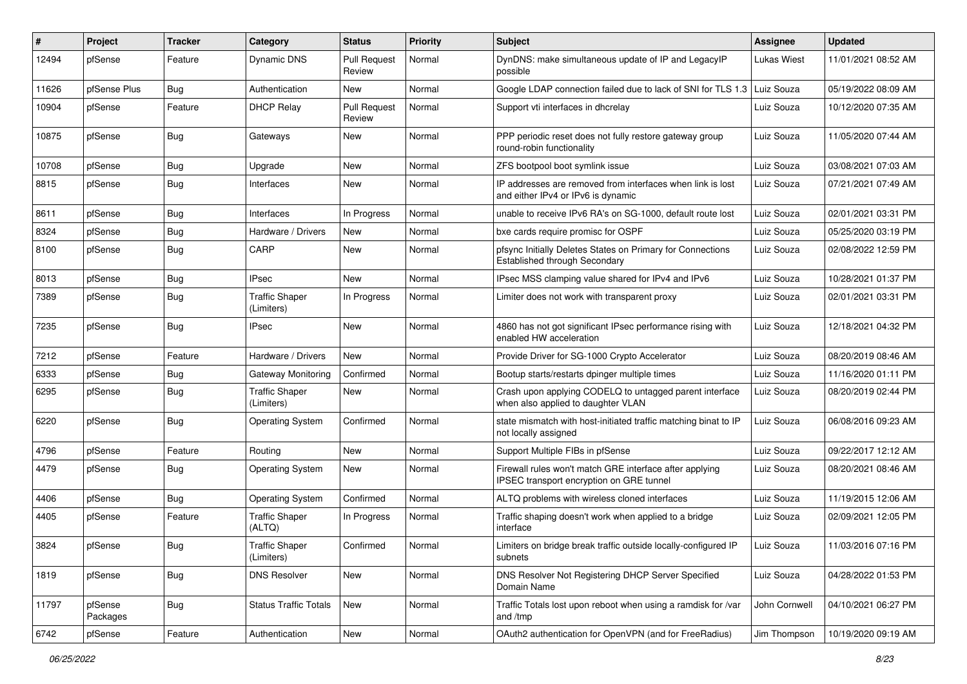| #     | Project             | <b>Tracker</b> | Category                            | <b>Status</b>                 | <b>Priority</b> | Subject                                                                                             | <b>Assignee</b>    | <b>Updated</b>      |
|-------|---------------------|----------------|-------------------------------------|-------------------------------|-----------------|-----------------------------------------------------------------------------------------------------|--------------------|---------------------|
| 12494 | pfSense             | Feature        | <b>Dynamic DNS</b>                  | <b>Pull Request</b><br>Review | Normal          | DynDNS: make simultaneous update of IP and LegacyIP<br>possible                                     | <b>Lukas Wiest</b> | 11/01/2021 08:52 AM |
| 11626 | pfSense Plus        | <b>Bug</b>     | Authentication                      | New                           | Normal          | Google LDAP connection failed due to lack of SNI for TLS 1.3 Luiz Souza                             |                    | 05/19/2022 08:09 AM |
| 10904 | pfSense             | Feature        | <b>DHCP Relay</b>                   | <b>Pull Request</b><br>Review | Normal          | Support vti interfaces in dhcrelay                                                                  | Luiz Souza         | 10/12/2020 07:35 AM |
| 10875 | pfSense             | <b>Bug</b>     | Gateways                            | New                           | Normal          | PPP periodic reset does not fully restore gateway group<br>round-robin functionality                | Luiz Souza         | 11/05/2020 07:44 AM |
| 10708 | pfSense             | <b>Bug</b>     | Upgrade                             | New                           | Normal          | ZFS bootpool boot symlink issue                                                                     | Luiz Souza         | 03/08/2021 07:03 AM |
| 8815  | pfSense             | <b>Bug</b>     | Interfaces                          | New                           | Normal          | IP addresses are removed from interfaces when link is lost<br>and either IPv4 or IPv6 is dynamic    | Luiz Souza         | 07/21/2021 07:49 AM |
| 8611  | pfSense             | <b>Bug</b>     | Interfaces                          | In Progress                   | Normal          | unable to receive IPv6 RA's on SG-1000, default route lost                                          | Luiz Souza         | 02/01/2021 03:31 PM |
| 8324  | pfSense             | <b>Bug</b>     | Hardware / Drivers                  | New                           | Normal          | bxe cards require promisc for OSPF                                                                  | Luiz Souza         | 05/25/2020 03:19 PM |
| 8100  | pfSense             | <b>Bug</b>     | CARP                                | New                           | Normal          | pfsync Initially Deletes States on Primary for Connections<br>Established through Secondary         | Luiz Souza         | 02/08/2022 12:59 PM |
| 8013  | pfSense             | <b>Bug</b>     | IPsec                               | New                           | Normal          | IPsec MSS clamping value shared for IPv4 and IPv6                                                   | Luiz Souza         | 10/28/2021 01:37 PM |
| 7389  | pfSense             | <b>Bug</b>     | <b>Traffic Shaper</b><br>(Limiters) | In Progress                   | Normal          | Limiter does not work with transparent proxy                                                        | Luiz Souza         | 02/01/2021 03:31 PM |
| 7235  | pfSense             | Bug            | <b>IPsec</b>                        | New                           | Normal          | 4860 has not got significant IPsec performance rising with<br>enabled HW acceleration               | Luiz Souza         | 12/18/2021 04:32 PM |
| 7212  | pfSense             | Feature        | Hardware / Drivers                  | <b>New</b>                    | Normal          | Provide Driver for SG-1000 Crypto Accelerator                                                       | Luiz Souza         | 08/20/2019 08:46 AM |
| 6333  | pfSense             | <b>Bug</b>     | Gateway Monitoring                  | Confirmed                     | Normal          | Bootup starts/restarts dpinger multiple times                                                       | Luiz Souza         | 11/16/2020 01:11 PM |
| 6295  | pfSense             | Bug            | <b>Traffic Shaper</b><br>(Limiters) | New                           | Normal          | Crash upon applying CODELQ to untagged parent interface<br>when also applied to daughter VLAN       | Luiz Souza         | 08/20/2019 02:44 PM |
| 6220  | pfSense             | Bug            | <b>Operating System</b>             | Confirmed                     | Normal          | state mismatch with host-initiated traffic matching binat to IP<br>not locally assigned             | Luiz Souza         | 06/08/2016 09:23 AM |
| 4796  | pfSense             | Feature        | Routing                             | New                           | Normal          | Support Multiple FIBs in pfSense                                                                    | Luiz Souza         | 09/22/2017 12:12 AM |
| 4479  | pfSense             | Bug            | <b>Operating System</b>             | New                           | Normal          | Firewall rules won't match GRE interface after applying<br>IPSEC transport encryption on GRE tunnel | Luiz Souza         | 08/20/2021 08:46 AM |
| 4406  | pfSense             | <b>Bug</b>     | <b>Operating System</b>             | Confirmed                     | Normal          | ALTQ problems with wireless cloned interfaces                                                       | Luiz Souza         | 11/19/2015 12:06 AM |
| 4405  | pfSense             | Feature        | <b>Traffic Shaper</b><br>(ALTQ)     | In Progress                   | Normal          | Traffic shaping doesn't work when applied to a bridge<br>interface                                  | Luiz Souza         | 02/09/2021 12:05 PM |
| 3824  | pfSense             | Bug            | <b>Traffic Shaper</b><br>(Limiters) | Confirmed                     | Normal          | -imiters on bridge break traffic outside locally-configured IP<br>subnets                           | Luiz Souza         | 11/03/2016 07:16 PM |
| 1819  | pfSense             | Bug            | <b>DNS Resolver</b>                 | New                           | Normal          | DNS Resolver Not Registering DHCP Server Specified<br>Domain Name                                   | Luiz Souza         | 04/28/2022 01:53 PM |
| 11797 | pfSense<br>Packages | Bug            | <b>Status Traffic Totals</b>        | New                           | Normal          | Traffic Totals lost upon reboot when using a ramdisk for /var<br>and /tmp                           | John Cornwell      | 04/10/2021 06:27 PM |
| 6742  | pfSense             | Feature        | Authentication                      | New                           | Normal          | OAuth2 authentication for OpenVPN (and for FreeRadius)                                              | Jim Thompson       | 10/19/2020 09:19 AM |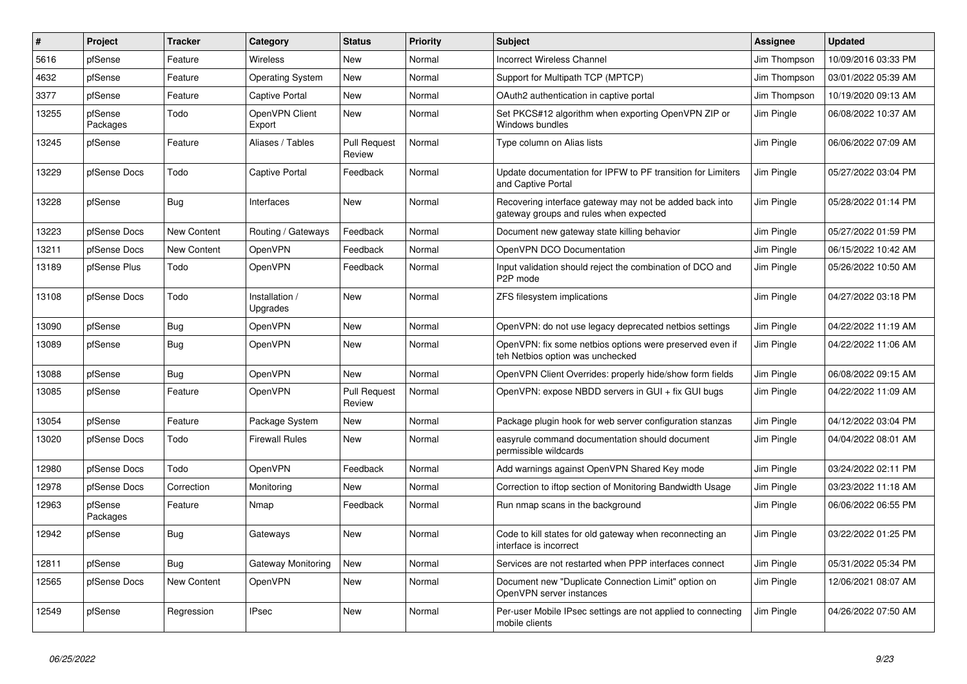| $\sharp$ | Project             | <b>Tracker</b> | Category                   | <b>Status</b>                 | <b>Priority</b> | <b>Subject</b>                                                                                    | Assignee     | <b>Updated</b>      |
|----------|---------------------|----------------|----------------------------|-------------------------------|-----------------|---------------------------------------------------------------------------------------------------|--------------|---------------------|
| 5616     | pfSense             | Feature        | Wireless                   | <b>New</b>                    | Normal          | <b>Incorrect Wireless Channel</b>                                                                 | Jim Thompson | 10/09/2016 03:33 PM |
| 4632     | pfSense             | Feature        | <b>Operating System</b>    | <b>New</b>                    | Normal          | Support for Multipath TCP (MPTCP)                                                                 | Jim Thompson | 03/01/2022 05:39 AM |
| 3377     | pfSense             | Feature        | Captive Portal             | New                           | Normal          | OAuth2 authentication in captive portal                                                           | Jim Thompson | 10/19/2020 09:13 AM |
| 13255    | pfSense<br>Packages | Todo           | OpenVPN Client<br>Export   | <b>New</b>                    | Normal          | Set PKCS#12 algorithm when exporting OpenVPN ZIP or<br>Windows bundles                            | Jim Pingle   | 06/08/2022 10:37 AM |
| 13245    | pfSense             | Feature        | Aliases / Tables           | <b>Pull Request</b><br>Review | Normal          | Type column on Alias lists                                                                        | Jim Pingle   | 06/06/2022 07:09 AM |
| 13229    | pfSense Docs        | Todo           | Captive Portal             | Feedback                      | Normal          | Update documentation for IPFW to PF transition for Limiters<br>and Captive Portal                 | Jim Pingle   | 05/27/2022 03:04 PM |
| 13228    | pfSense             | <b>Bug</b>     | Interfaces                 | New                           | Normal          | Recovering interface gateway may not be added back into<br>gateway groups and rules when expected | Jim Pingle   | 05/28/2022 01:14 PM |
| 13223    | pfSense Docs        | New Content    | Routing / Gateways         | Feedback                      | Normal          | Document new gateway state killing behavior                                                       | Jim Pingle   | 05/27/2022 01:59 PM |
| 13211    | pfSense Docs        | New Content    | OpenVPN                    | Feedback                      | Normal          | OpenVPN DCO Documentation                                                                         | Jim Pingle   | 06/15/2022 10:42 AM |
| 13189    | pfSense Plus        | Todo           | OpenVPN                    | Feedback                      | Normal          | Input validation should reject the combination of DCO and<br>P <sub>2</sub> P mode                | Jim Pingle   | 05/26/2022 10:50 AM |
| 13108    | pfSense Docs        | Todo           | Installation /<br>Upgrades | New                           | Normal          | ZFS filesystem implications                                                                       | Jim Pingle   | 04/27/2022 03:18 PM |
| 13090    | pfSense             | <b>Bug</b>     | OpenVPN                    | New                           | Normal          | OpenVPN: do not use legacy deprecated netbios settings                                            | Jim Pingle   | 04/22/2022 11:19 AM |
| 13089    | pfSense             | <b>Bug</b>     | <b>OpenVPN</b>             | New                           | Normal          | OpenVPN: fix some netbios options were preserved even if<br>teh Netbios option was unchecked      | Jim Pingle   | 04/22/2022 11:06 AM |
| 13088    | pfSense             | Bug            | OpenVPN                    | <b>New</b>                    | Normal          | OpenVPN Client Overrides: properly hide/show form fields                                          | Jim Pingle   | 06/08/2022 09:15 AM |
| 13085    | pfSense             | Feature        | <b>OpenVPN</b>             | <b>Pull Request</b><br>Review | Normal          | OpenVPN: expose NBDD servers in GUI + fix GUI bugs                                                | Jim Pingle   | 04/22/2022 11:09 AM |
| 13054    | pfSense             | Feature        | Package System             | New                           | Normal          | Package plugin hook for web server configuration stanzas                                          | Jim Pingle   | 04/12/2022 03:04 PM |
| 13020    | pfSense Docs        | Todo           | <b>Firewall Rules</b>      | New                           | Normal          | easyrule command documentation should document<br>permissible wildcards                           | Jim Pingle   | 04/04/2022 08:01 AM |
| 12980    | pfSense Docs        | Todo           | <b>OpenVPN</b>             | Feedback                      | Normal          | Add warnings against OpenVPN Shared Key mode                                                      | Jim Pingle   | 03/24/2022 02:11 PM |
| 12978    | pfSense Docs        | Correction     | Monitoring                 | <b>New</b>                    | Normal          | Correction to iftop section of Monitoring Bandwidth Usage                                         | Jim Pingle   | 03/23/2022 11:18 AM |
| 12963    | pfSense<br>Packages | Feature        | Nmap                       | Feedback                      | Normal          | Run nmap scans in the background                                                                  | Jim Pingle   | 06/06/2022 06:55 PM |
| 12942    | pfSense             | <b>Bug</b>     | Gateways                   | <b>New</b>                    | Normal          | Code to kill states for old gateway when reconnecting an<br>interface is incorrect                | Jim Pingle   | 03/22/2022 01:25 PM |
| 12811    | pfSense             | Bug            | Gateway Monitoring         | New                           | Normal          | Services are not restarted when PPP interfaces connect                                            | Jim Pingle   | 05/31/2022 05:34 PM |
| 12565    | pfSense Docs        | New Content    | OpenVPN                    | New                           | Normal          | Document new "Duplicate Connection Limit" option on<br>OpenVPN server instances                   | Jim Pingle   | 12/06/2021 08:07 AM |
| 12549    | pfSense             | Regression     | <b>IPsec</b>               | New                           | Normal          | Per-user Mobile IPsec settings are not applied to connecting<br>mobile clients                    | Jim Pingle   | 04/26/2022 07:50 AM |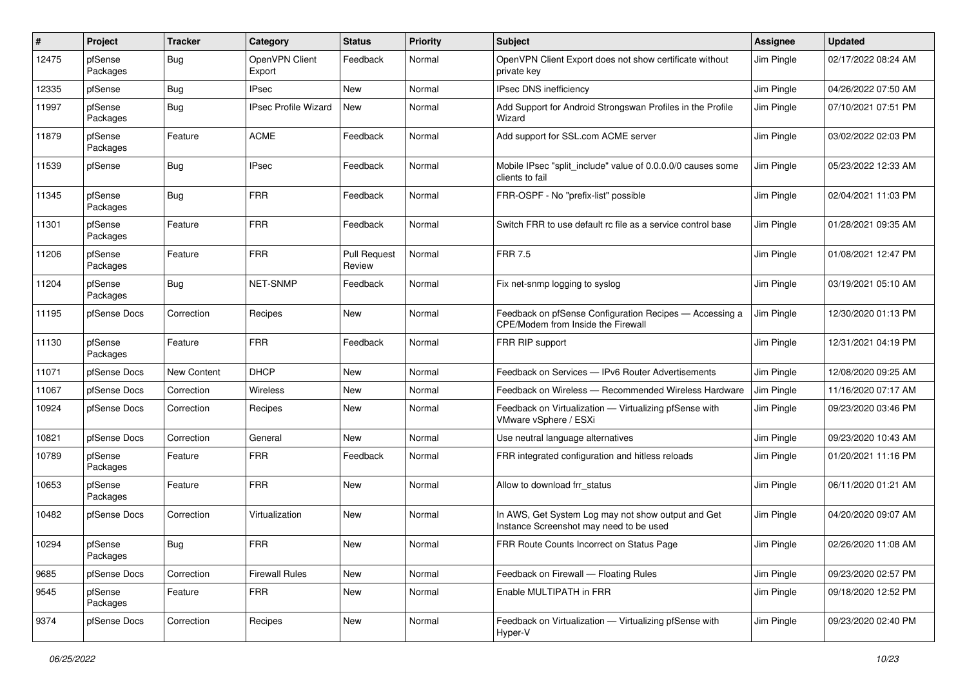| #     | Project             | <b>Tracker</b> | Category                    | <b>Status</b>                 | <b>Priority</b> | Subject                                                                                       | <b>Assignee</b> | <b>Updated</b>      |
|-------|---------------------|----------------|-----------------------------|-------------------------------|-----------------|-----------------------------------------------------------------------------------------------|-----------------|---------------------|
| 12475 | pfSense<br>Packages | Bug            | OpenVPN Client<br>Export    | Feedback                      | Normal          | OpenVPN Client Export does not show certificate without<br>private key                        | Jim Pingle      | 02/17/2022 08:24 AM |
| 12335 | pfSense             | <b>Bug</b>     | <b>IPsec</b>                | New                           | Normal          | IPsec DNS inefficiency                                                                        | Jim Pingle      | 04/26/2022 07:50 AM |
| 11997 | pfSense<br>Packages | Bug            | <b>IPsec Profile Wizard</b> | New                           | Normal          | Add Support for Android Strongswan Profiles in the Profile<br>Wizard                          | Jim Pingle      | 07/10/2021 07:51 PM |
| 11879 | pfSense<br>Packages | Feature        | <b>ACME</b>                 | Feedback                      | Normal          | Add support for SSL.com ACME server                                                           | Jim Pingle      | 03/02/2022 02:03 PM |
| 11539 | pfSense             | Bug            | <b>IPsec</b>                | Feedback                      | Normal          | Mobile IPsec "split include" value of 0.0.0.0/0 causes some<br>clients to fail                | Jim Pingle      | 05/23/2022 12:33 AM |
| 11345 | pfSense<br>Packages | Bug            | <b>FRR</b>                  | Feedback                      | Normal          | FRR-OSPF - No "prefix-list" possible                                                          | Jim Pingle      | 02/04/2021 11:03 PM |
| 11301 | pfSense<br>Packages | Feature        | <b>FRR</b>                  | Feedback                      | Normal          | Switch FRR to use default rc file as a service control base                                   | Jim Pingle      | 01/28/2021 09:35 AM |
| 11206 | pfSense<br>Packages | Feature        | <b>FRR</b>                  | <b>Pull Request</b><br>Review | Normal          | <b>FRR 7.5</b>                                                                                | Jim Pingle      | 01/08/2021 12:47 PM |
| 11204 | pfSense<br>Packages | <b>Bug</b>     | NET-SNMP                    | Feedback                      | Normal          | Fix net-snmp logging to syslog                                                                | Jim Pingle      | 03/19/2021 05:10 AM |
| 11195 | pfSense Docs        | Correction     | Recipes                     | New                           | Normal          | Feedback on pfSense Configuration Recipes - Accessing a<br>CPE/Modem from Inside the Firewall | Jim Pingle      | 12/30/2020 01:13 PM |
| 11130 | pfSense<br>Packages | Feature        | <b>FRR</b>                  | Feedback                      | Normal          | FRR RIP support                                                                               | Jim Pingle      | 12/31/2021 04:19 PM |
| 11071 | pfSense Docs        | New Content    | <b>DHCP</b>                 | New                           | Normal          | Feedback on Services - IPv6 Router Advertisements                                             | Jim Pingle      | 12/08/2020 09:25 AM |
| 11067 | pfSense Docs        | Correction     | Wireless                    | New                           | Normal          | Feedback on Wireless - Recommended Wireless Hardware                                          | Jim Pingle      | 11/16/2020 07:17 AM |
| 10924 | pfSense Docs        | Correction     | Recipes                     | New                           | Normal          | Feedback on Virtualization - Virtualizing pfSense with<br>VMware vSphere / ESXi               | Jim Pingle      | 09/23/2020 03:46 PM |
| 10821 | pfSense Docs        | Correction     | General                     | New                           | Normal          | Use neutral language alternatives                                                             | Jim Pingle      | 09/23/2020 10:43 AM |
| 10789 | pfSense<br>Packages | Feature        | <b>FRR</b>                  | Feedback                      | Normal          | FRR integrated configuration and hitless reloads                                              | Jim Pingle      | 01/20/2021 11:16 PM |
| 10653 | pfSense<br>Packages | Feature        | <b>FRR</b>                  | New                           | Normal          | Allow to download frr status                                                                  | Jim Pingle      | 06/11/2020 01:21 AM |
| 10482 | pfSense Docs        | Correction     | Virtualization              | New                           | Normal          | In AWS, Get System Log may not show output and Get<br>Instance Screenshot may need to be used | Jim Pingle      | 04/20/2020 09:07 AM |
| 10294 | pfSense<br>Packages | Bug            | <b>FRR</b>                  | New                           | Normal          | FRR Route Counts Incorrect on Status Page                                                     | Jim Pingle      | 02/26/2020 11:08 AM |
| 9685  | pfSense Docs        | Correction     | <b>Firewall Rules</b>       | New                           | Normal          | Feedback on Firewall - Floating Rules                                                         | Jim Pingle      | 09/23/2020 02:57 PM |
| 9545  | pfSense<br>Packages | Feature        | <b>FRR</b>                  | New                           | Normal          | Enable MULTIPATH in FRR                                                                       | Jim Pingle      | 09/18/2020 12:52 PM |
| 9374  | pfSense Docs        | Correction     | Recipes                     | New                           | Normal          | Feedback on Virtualization - Virtualizing pfSense with<br>Hyper-V                             | Jim Pingle      | 09/23/2020 02:40 PM |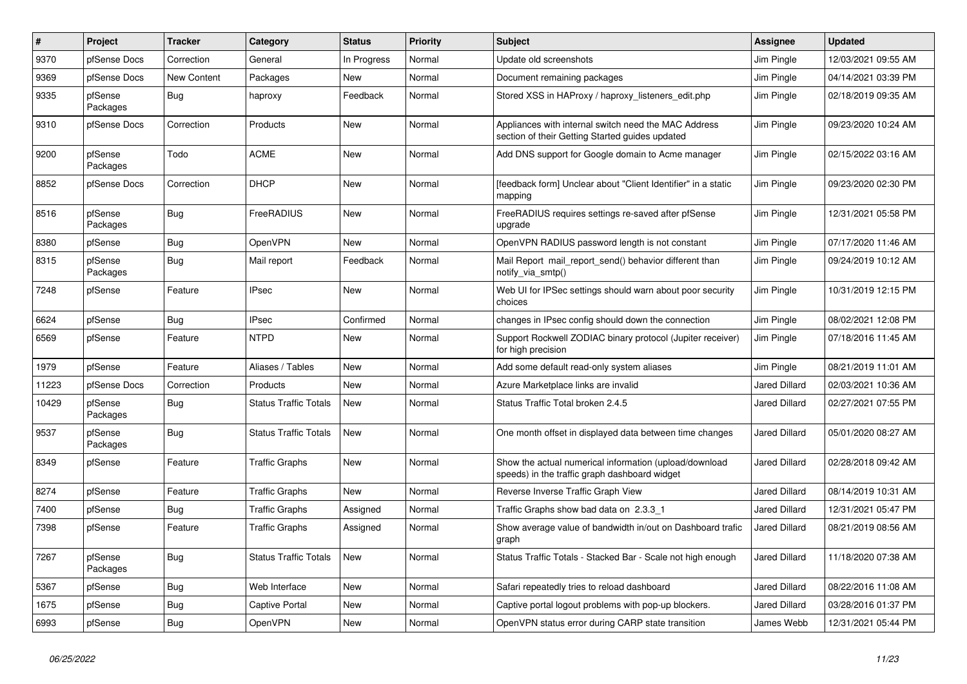| $\vert$ # | Project             | <b>Tracker</b> | Category                     | <b>Status</b> | <b>Priority</b> | <b>Subject</b>                                                                                          | <b>Assignee</b>      | <b>Updated</b>      |
|-----------|---------------------|----------------|------------------------------|---------------|-----------------|---------------------------------------------------------------------------------------------------------|----------------------|---------------------|
| 9370      | pfSense Docs        | Correction     | General                      | In Progress   | Normal          | Update old screenshots                                                                                  | Jim Pingle           | 12/03/2021 09:55 AM |
| 9369      | pfSense Docs        | New Content    | Packages                     | New           | Normal          | Document remaining packages                                                                             | Jim Pingle           | 04/14/2021 03:39 PM |
| 9335      | pfSense<br>Packages | <b>Bug</b>     | haproxy                      | Feedback      | Normal          | Stored XSS in HAProxy / haproxy listeners edit.php                                                      | Jim Pingle           | 02/18/2019 09:35 AM |
| 9310      | pfSense Docs        | Correction     | Products                     | New           | Normal          | Appliances with internal switch need the MAC Address<br>section of their Getting Started guides updated | Jim Pingle           | 09/23/2020 10:24 AM |
| 9200      | pfSense<br>Packages | Todo           | <b>ACME</b>                  | New           | Normal          | Add DNS support for Google domain to Acme manager                                                       | Jim Pingle           | 02/15/2022 03:16 AM |
| 8852      | pfSense Docs        | Correction     | <b>DHCP</b>                  | New           | Normal          | [feedback form] Unclear about "Client Identifier" in a static<br>mapping                                | Jim Pingle           | 09/23/2020 02:30 PM |
| 8516      | pfSense<br>Packages | <b>Bug</b>     | FreeRADIUS                   | New           | Normal          | FreeRADIUS requires settings re-saved after pfSense<br>upgrade                                          | Jim Pingle           | 12/31/2021 05:58 PM |
| 8380      | pfSense             | Bug            | OpenVPN                      | New           | Normal          | OpenVPN RADIUS password length is not constant                                                          | Jim Pingle           | 07/17/2020 11:46 AM |
| 8315      | pfSense<br>Packages | Bug            | Mail report                  | Feedback      | Normal          | Mail Report mail report send() behavior different than<br>notify_via_smtp()                             | Jim Pingle           | 09/24/2019 10:12 AM |
| 7248      | pfSense             | Feature        | <b>IPsec</b>                 | <b>New</b>    | Normal          | Web UI for IPSec settings should warn about poor security<br>choices                                    | Jim Pingle           | 10/31/2019 12:15 PM |
| 6624      | pfSense             | Bug            | <b>IPsec</b>                 | Confirmed     | Normal          | changes in IPsec config should down the connection                                                      | Jim Pingle           | 08/02/2021 12:08 PM |
| 6569      | pfSense             | Feature        | <b>NTPD</b>                  | <b>New</b>    | Normal          | Support Rockwell ZODIAC binary protocol (Jupiter receiver)<br>for high precision                        | Jim Pingle           | 07/18/2016 11:45 AM |
| 1979      | pfSense             | Feature        | Aliases / Tables             | New           | Normal          | Add some default read-only system aliases                                                               | Jim Pingle           | 08/21/2019 11:01 AM |
| 11223     | pfSense Docs        | Correction     | Products                     | New           | Normal          | Azure Marketplace links are invalid                                                                     | <b>Jared Dillard</b> | 02/03/2021 10:36 AM |
| 10429     | pfSense<br>Packages | <b>Bug</b>     | <b>Status Traffic Totals</b> | New           | Normal          | Status Traffic Total broken 2.4.5                                                                       | Jared Dillard        | 02/27/2021 07:55 PM |
| 9537      | pfSense<br>Packages | <b>Bug</b>     | <b>Status Traffic Totals</b> | New           | Normal          | One month offset in displayed data between time changes                                                 | Jared Dillard        | 05/01/2020 08:27 AM |
| 8349      | pfSense             | Feature        | <b>Traffic Graphs</b>        | New           | Normal          | Show the actual numerical information (upload/download<br>speeds) in the traffic graph dashboard widget | <b>Jared Dillard</b> | 02/28/2018 09:42 AM |
| 8274      | pfSense             | Feature        | <b>Traffic Graphs</b>        | New           | Normal          | Reverse Inverse Traffic Graph View                                                                      | Jared Dillard        | 08/14/2019 10:31 AM |
| 7400      | pfSense             | <b>Bug</b>     | <b>Traffic Graphs</b>        | Assigned      | Normal          | Traffic Graphs show bad data on 2.3.3 1                                                                 | Jared Dillard        | 12/31/2021 05:47 PM |
| 7398      | pfSense             | Feature        | <b>Traffic Graphs</b>        | Assigned      | Normal          | Show average value of bandwidth in/out on Dashboard trafic<br>graph                                     | <b>Jared Dillard</b> | 08/21/2019 08:56 AM |
| 7267      | pfSense<br>Packages | Bug            | <b>Status Traffic Totals</b> | New           | Normal          | Status Traffic Totals - Stacked Bar - Scale not high enough                                             | Jared Dillard        | 11/18/2020 07:38 AM |
| 5367      | pfSense             | <b>Bug</b>     | Web Interface                | <b>New</b>    | Normal          | Safari repeatedly tries to reload dashboard                                                             | <b>Jared Dillard</b> | 08/22/2016 11:08 AM |
| 1675      | pfSense             | <b>Bug</b>     | Captive Portal               | New           | Normal          | Captive portal logout problems with pop-up blockers.                                                    | <b>Jared Dillard</b> | 03/28/2016 01:37 PM |
| 6993      | pfSense             | <b>Bug</b>     | OpenVPN                      | <b>New</b>    | Normal          | OpenVPN status error during CARP state transition                                                       | James Webb           | 12/31/2021 05:44 PM |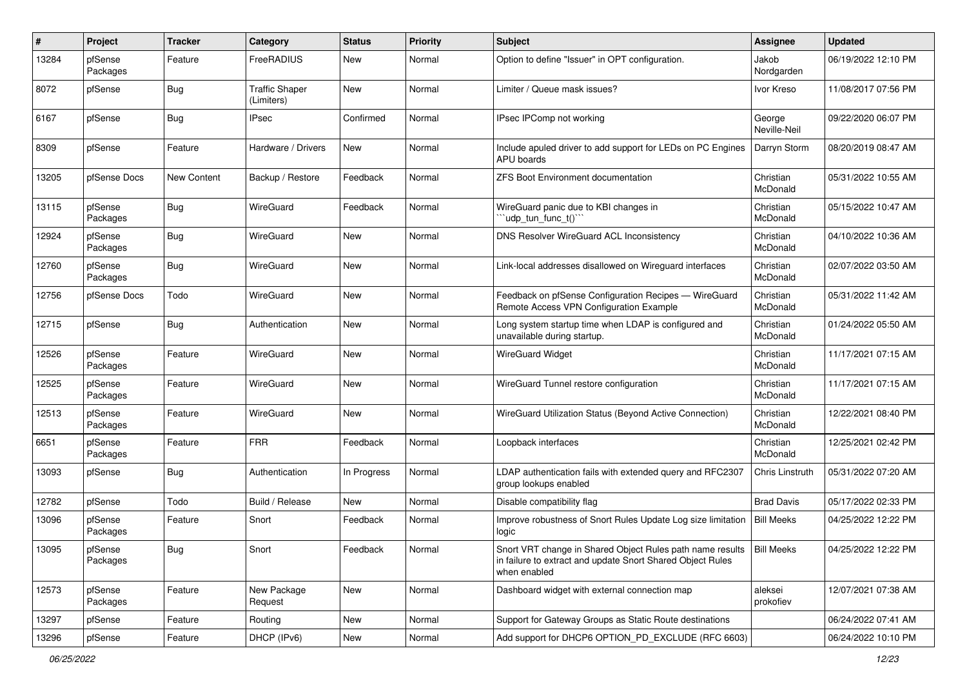| $\sharp$ | Project             | <b>Tracker</b> | Category                            | <b>Status</b> | <b>Priority</b> | <b>Subject</b>                                                                                                                                       | <b>Assignee</b>        | <b>Updated</b>      |
|----------|---------------------|----------------|-------------------------------------|---------------|-----------------|------------------------------------------------------------------------------------------------------------------------------------------------------|------------------------|---------------------|
| 13284    | pfSense<br>Packages | Feature        | FreeRADIUS                          | New           | Normal          | Option to define "Issuer" in OPT configuration.                                                                                                      | Jakob<br>Nordgarden    | 06/19/2022 12:10 PM |
| 8072     | pfSense             | <b>Bug</b>     | <b>Traffic Shaper</b><br>(Limiters) | New           | Normal          | Limiter / Queue mask issues?                                                                                                                         | Ivor Kreso             | 11/08/2017 07:56 PM |
| 6167     | pfSense             | <b>Bug</b>     | <b>IPsec</b>                        | Confirmed     | Normal          | IPsec IPComp not working                                                                                                                             | George<br>Neville-Neil | 09/22/2020 06:07 PM |
| 8309     | pfSense             | Feature        | Hardware / Drivers                  | New           | Normal          | Include apuled driver to add support for LEDs on PC Engines<br>APU boards                                                                            | Darryn Storm           | 08/20/2019 08:47 AM |
| 13205    | pfSense Docs        | New Content    | Backup / Restore                    | Feedback      | Normal          | <b>ZFS Boot Environment documentation</b>                                                                                                            | Christian<br>McDonald  | 05/31/2022 10:55 AM |
| 13115    | pfSense<br>Packages | Bug            | WireGuard                           | Feedback      | Normal          | WireGuard panic due to KBI changes in<br>'udp_tun_func_t()"                                                                                          | Christian<br>McDonald  | 05/15/2022 10:47 AM |
| 12924    | pfSense<br>Packages | <b>Bug</b>     | WireGuard                           | New           | Normal          | DNS Resolver WireGuard ACL Inconsistency                                                                                                             | Christian<br>McDonald  | 04/10/2022 10:36 AM |
| 12760    | pfSense<br>Packages | Bug            | WireGuard                           | New           | Normal          | Link-local addresses disallowed on Wireguard interfaces                                                                                              | Christian<br>McDonald  | 02/07/2022 03:50 AM |
| 12756    | pfSense Docs        | Todo           | WireGuard                           | New           | Normal          | Feedback on pfSense Configuration Recipes - WireGuard<br>Remote Access VPN Configuration Example                                                     | Christian<br>McDonald  | 05/31/2022 11:42 AM |
| 12715    | pfSense             | <b>Bug</b>     | Authentication                      | New           | Normal          | Long system startup time when LDAP is configured and<br>unavailable during startup.                                                                  | Christian<br>McDonald  | 01/24/2022 05:50 AM |
| 12526    | pfSense<br>Packages | Feature        | WireGuard                           | New           | Normal          | <b>WireGuard Widget</b>                                                                                                                              | Christian<br>McDonald  | 11/17/2021 07:15 AM |
| 12525    | pfSense<br>Packages | Feature        | WireGuard                           | New           | Normal          | WireGuard Tunnel restore configuration                                                                                                               | Christian<br>McDonald  | 11/17/2021 07:15 AM |
| 12513    | pfSense<br>Packages | Feature        | WireGuard                           | New           | Normal          | WireGuard Utilization Status (Beyond Active Connection)                                                                                              | Christian<br>McDonald  | 12/22/2021 08:40 PM |
| 6651     | pfSense<br>Packages | Feature        | <b>FRR</b>                          | Feedback      | Normal          | Loopback interfaces                                                                                                                                  | Christian<br>McDonald  | 12/25/2021 02:42 PM |
| 13093    | pfSense             | Bug            | Authentication                      | In Progress   | Normal          | LDAP authentication fails with extended query and RFC2307<br>group lookups enabled                                                                   | Chris Linstruth        | 05/31/2022 07:20 AM |
| 12782    | pfSense             | Todo           | Build / Release                     | New           | Normal          | Disable compatibility flag                                                                                                                           | <b>Brad Davis</b>      | 05/17/2022 02:33 PM |
| 13096    | pfSense<br>Packages | Feature        | Snort                               | Feedback      | Normal          | Improve robustness of Snort Rules Update Log size limitation<br>logic                                                                                | <b>Bill Meeks</b>      | 04/25/2022 12:22 PM |
| 13095    | pfSense<br>Packages | <b>Bug</b>     | Snort                               | Feedback      | Normal          | Snort VRT change in Shared Object Rules path name results   Bill Meeks<br>in failure to extract and update Snort Shared Object Rules<br>when enabled |                        | 04/25/2022 12:22 PM |
| 12573    | pfSense<br>Packages | Feature        | New Package<br>Request              | New           | Normal          | Dashboard widget with external connection map                                                                                                        | aleksei<br>prokofiev   | 12/07/2021 07:38 AM |
| 13297    | pfSense             | Feature        | Routing                             | New           | Normal          | Support for Gateway Groups as Static Route destinations                                                                                              |                        | 06/24/2022 07:41 AM |
| 13296    | pfSense             | Feature        | DHCP (IPv6)                         | New           | Normal          | Add support for DHCP6 OPTION_PD_EXCLUDE (RFC 6603)                                                                                                   |                        | 06/24/2022 10:10 PM |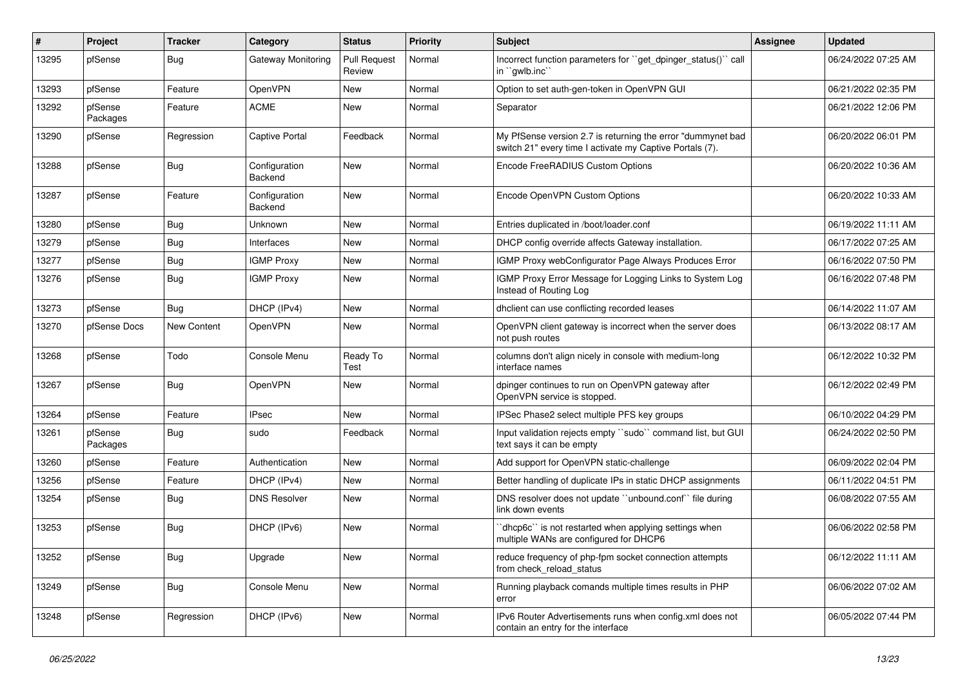| #     | Project             | <b>Tracker</b> | Category                 | <b>Status</b>                 | <b>Priority</b> | <b>Subject</b>                                                                                                          | <b>Assignee</b> | <b>Updated</b>      |
|-------|---------------------|----------------|--------------------------|-------------------------------|-----------------|-------------------------------------------------------------------------------------------------------------------------|-----------------|---------------------|
| 13295 | pfSense             | <b>Bug</b>     | Gateway Monitoring       | <b>Pull Request</b><br>Review | Normal          | Incorrect function parameters for "get dpinger status()" call<br>in "gwlb.inc"                                          |                 | 06/24/2022 07:25 AM |
| 13293 | pfSense             | Feature        | OpenVPN                  | New                           | Normal          | Option to set auth-gen-token in OpenVPN GUI                                                                             |                 | 06/21/2022 02:35 PM |
| 13292 | pfSense<br>Packages | Feature        | <b>ACME</b>              | New                           | Normal          | Separator                                                                                                               |                 | 06/21/2022 12:06 PM |
| 13290 | pfSense             | Regression     | Captive Portal           | Feedback                      | Normal          | My PfSense version 2.7 is returning the error "dummynet bad<br>switch 21" every time I activate my Captive Portals (7). |                 | 06/20/2022 06:01 PM |
| 13288 | pfSense             | Bug            | Configuration<br>Backend | New                           | Normal          | Encode FreeRADIUS Custom Options                                                                                        |                 | 06/20/2022 10:36 AM |
| 13287 | pfSense             | Feature        | Configuration<br>Backend | New                           | Normal          | Encode OpenVPN Custom Options                                                                                           |                 | 06/20/2022 10:33 AM |
| 13280 | pfSense             | <b>Bug</b>     | Unknown                  | New                           | Normal          | Entries duplicated in /boot/loader.conf                                                                                 |                 | 06/19/2022 11:11 AM |
| 13279 | pfSense             | <b>Bug</b>     | Interfaces               | New                           | Normal          | DHCP config override affects Gateway installation.                                                                      |                 | 06/17/2022 07:25 AM |
| 13277 | pfSense             | <b>Bug</b>     | <b>IGMP Proxy</b>        | New                           | Normal          | IGMP Proxy webConfigurator Page Always Produces Error                                                                   |                 | 06/16/2022 07:50 PM |
| 13276 | pfSense             | Bug            | <b>IGMP Proxy</b>        | New                           | Normal          | IGMP Proxy Error Message for Logging Links to System Log<br>Instead of Routing Log                                      |                 | 06/16/2022 07:48 PM |
| 13273 | pfSense             | Bug            | DHCP (IPv4)              | New                           | Normal          | dholient can use conflicting recorded leases                                                                            |                 | 06/14/2022 11:07 AM |
| 13270 | pfSense Docs        | New Content    | OpenVPN                  | New                           | Normal          | OpenVPN client gateway is incorrect when the server does<br>not push routes                                             |                 | 06/13/2022 08:17 AM |
| 13268 | pfSense             | Todo           | Console Menu             | Ready To<br>Test              | Normal          | columns don't align nicely in console with medium-long<br>interface names                                               |                 | 06/12/2022 10:32 PM |
| 13267 | pfSense             | Bug            | OpenVPN                  | New                           | Normal          | dpinger continues to run on OpenVPN gateway after<br>OpenVPN service is stopped.                                        |                 | 06/12/2022 02:49 PM |
| 13264 | pfSense             | Feature        | <b>IPsec</b>             | New                           | Normal          | IPSec Phase2 select multiple PFS key groups                                                                             |                 | 06/10/2022 04:29 PM |
| 13261 | pfSense<br>Packages | <b>Bug</b>     | sudo                     | Feedback                      | Normal          | Input validation rejects empty "sudo" command list, but GUI<br>text says it can be empty                                |                 | 06/24/2022 02:50 PM |
| 13260 | pfSense             | Feature        | Authentication           | New                           | Normal          | Add support for OpenVPN static-challenge                                                                                |                 | 06/09/2022 02:04 PM |
| 13256 | pfSense             | Feature        | DHCP (IPv4)              | New                           | Normal          | Better handling of duplicate IPs in static DHCP assignments                                                             |                 | 06/11/2022 04:51 PM |
| 13254 | pfSense             | Bug            | <b>DNS Resolver</b>      | New                           | Normal          | DNS resolver does not update "unbound.conf" file during<br>link down events                                             |                 | 06/08/2022 07:55 AM |
| 13253 | pfSense             | <b>Bug</b>     | DHCP (IPv6)              | New                           | Normal          | 'dhcp6c'' is not restarted when applying settings when<br>multiple WANs are configured for DHCP6                        |                 | 06/06/2022 02:58 PM |
| 13252 | pfSense             | Bug            | Upgrade                  | New                           | Normal          | reduce frequency of php-fpm socket connection attempts<br>from check_reload_status                                      |                 | 06/12/2022 11:11 AM |
| 13249 | pfSense             | Bug            | Console Menu             | New                           | Normal          | Running playback comands multiple times results in PHP<br>error                                                         |                 | 06/06/2022 07:02 AM |
| 13248 | pfSense             | Regression     | DHCP (IPv6)              | New                           | Normal          | IPv6 Router Advertisements runs when config.xml does not<br>contain an entry for the interface                          |                 | 06/05/2022 07:44 PM |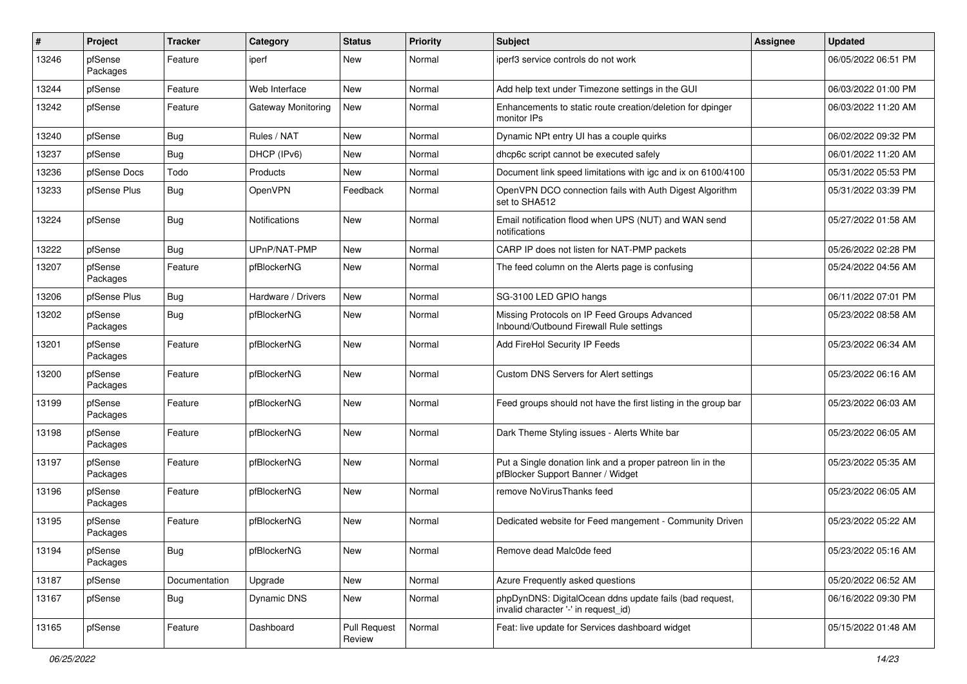| #     | Project             | <b>Tracker</b> | Category           | <b>Status</b>                 | <b>Priority</b> | Subject                                                                                         | <b>Assignee</b> | <b>Updated</b>      |
|-------|---------------------|----------------|--------------------|-------------------------------|-----------------|-------------------------------------------------------------------------------------------------|-----------------|---------------------|
| 13246 | pfSense<br>Packages | Feature        | iperf              | New                           | Normal          | iperf3 service controls do not work                                                             |                 | 06/05/2022 06:51 PM |
| 13244 | pfSense             | Feature        | Web Interface      | <b>New</b>                    | Normal          | Add help text under Timezone settings in the GUI                                                |                 | 06/03/2022 01:00 PM |
| 13242 | pfSense             | Feature        | Gateway Monitoring | New                           | Normal          | Enhancements to static route creation/deletion for dpinger<br>monitor IPs                       |                 | 06/03/2022 11:20 AM |
| 13240 | pfSense             | <b>Bug</b>     | Rules / NAT        | New                           | Normal          | Dynamic NPt entry UI has a couple quirks                                                        |                 | 06/02/2022 09:32 PM |
| 13237 | pfSense             | <b>Bug</b>     | DHCP (IPv6)        | New                           | Normal          | dhcp6c script cannot be executed safely                                                         |                 | 06/01/2022 11:20 AM |
| 13236 | pfSense Docs        | Todo           | Products           | <b>New</b>                    | Normal          | Document link speed limitations with igc and ix on 6100/4100                                    |                 | 05/31/2022 05:53 PM |
| 13233 | pfSense Plus        | <b>Bug</b>     | OpenVPN            | Feedback                      | Normal          | OpenVPN DCO connection fails with Auth Digest Algorithm<br>set to SHA512                        |                 | 05/31/2022 03:39 PM |
| 13224 | pfSense             | Bug            | Notifications      | New                           | Normal          | Email notification flood when UPS (NUT) and WAN send<br>notifications                           |                 | 05/27/2022 01:58 AM |
| 13222 | pfSense             | <b>Bug</b>     | UPnP/NAT-PMP       | <b>New</b>                    | Normal          | CARP IP does not listen for NAT-PMP packets                                                     |                 | 05/26/2022 02:28 PM |
| 13207 | pfSense<br>Packages | Feature        | pfBlockerNG        | New                           | Normal          | The feed column on the Alerts page is confusing                                                 |                 | 05/24/2022 04:56 AM |
| 13206 | pfSense Plus        | Bug            | Hardware / Drivers | <b>New</b>                    | Normal          | SG-3100 LED GPIO hangs                                                                          |                 | 06/11/2022 07:01 PM |
| 13202 | pfSense<br>Packages | Bug            | pfBlockerNG        | New                           | Normal          | Missing Protocols on IP Feed Groups Advanced<br>Inbound/Outbound Firewall Rule settings         |                 | 05/23/2022 08:58 AM |
| 13201 | pfSense<br>Packages | Feature        | pfBlockerNG        | New                           | Normal          | Add FireHol Security IP Feeds                                                                   |                 | 05/23/2022 06:34 AM |
| 13200 | pfSense<br>Packages | Feature        | pfBlockerNG        | New                           | Normal          | Custom DNS Servers for Alert settings                                                           |                 | 05/23/2022 06:16 AM |
| 13199 | pfSense<br>Packages | Feature        | pfBlockerNG        | New                           | Normal          | Feed groups should not have the first listing in the group bar                                  |                 | 05/23/2022 06:03 AM |
| 13198 | pfSense<br>Packages | Feature        | pfBlockerNG        | <b>New</b>                    | Normal          | Dark Theme Styling issues - Alerts White bar                                                    |                 | 05/23/2022 06:05 AM |
| 13197 | pfSense<br>Packages | Feature        | pfBlockerNG        | <b>New</b>                    | Normal          | Put a Single donation link and a proper patreon lin in the<br>pfBlocker Support Banner / Widget |                 | 05/23/2022 05:35 AM |
| 13196 | pfSense<br>Packages | Feature        | pfBlockerNG        | New                           | Normal          | remove NoVirusThanks feed                                                                       |                 | 05/23/2022 06:05 AM |
| 13195 | pfSense<br>Packages | Feature        | pfBlockerNG        | New                           | Normal          | Dedicated website for Feed mangement - Community Driven                                         |                 | 05/23/2022 05:22 AM |
| 13194 | pfSense<br>Packages | Bug            | pfBlockerNG        | New                           | Normal          | Remove dead Malc0de feed                                                                        |                 | 05/23/2022 05:16 AM |
| 13187 | pfSense             | Documentation  | Upgrade            | <b>New</b>                    | Normal          | Azure Frequently asked questions                                                                |                 | 05/20/2022 06:52 AM |
| 13167 | pfSense             | Bug            | Dynamic DNS        | New                           | Normal          | phpDynDNS: DigitalOcean ddns update fails (bad request,<br>invalid character '-' in request_id) |                 | 06/16/2022 09:30 PM |
| 13165 | pfSense             | Feature        | Dashboard          | <b>Pull Request</b><br>Review | Normal          | Feat: live update for Services dashboard widget                                                 |                 | 05/15/2022 01:48 AM |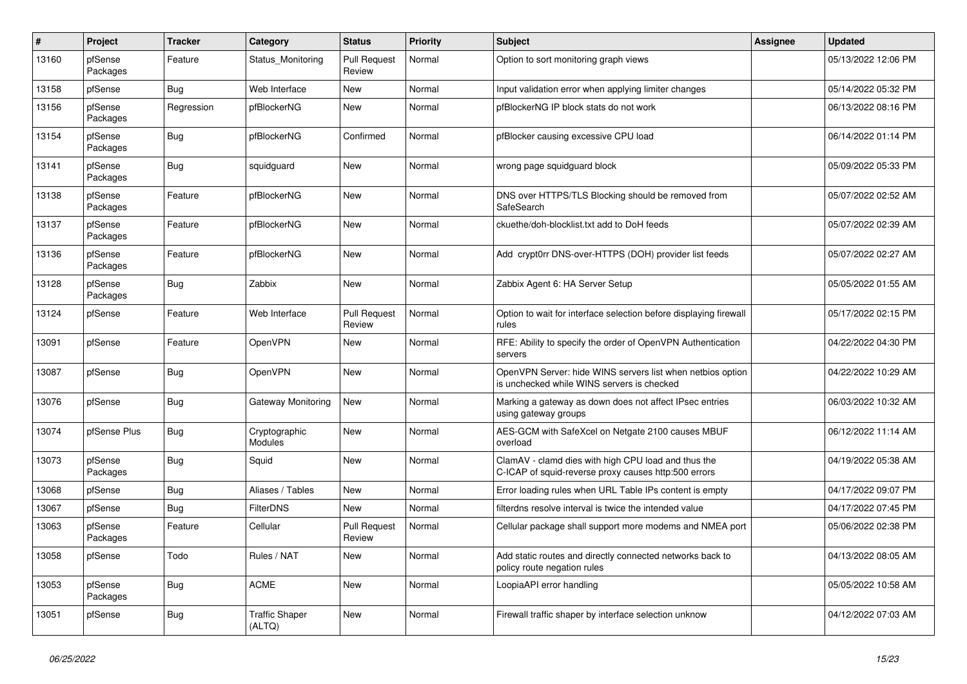| $\pmb{\#}$ | Project             | <b>Tracker</b> | Category                        | <b>Status</b>                 | <b>Priority</b> | <b>Subject</b>                                                                                              | <b>Assignee</b> | <b>Updated</b>      |
|------------|---------------------|----------------|---------------------------------|-------------------------------|-----------------|-------------------------------------------------------------------------------------------------------------|-----------------|---------------------|
| 13160      | pfSense<br>Packages | Feature        | Status Monitoring               | <b>Pull Request</b><br>Review | Normal          | Option to sort monitoring graph views                                                                       |                 | 05/13/2022 12:06 PM |
| 13158      | pfSense             | Bug            | Web Interface                   | New                           | Normal          | Input validation error when applying limiter changes                                                        |                 | 05/14/2022 05:32 PM |
| 13156      | pfSense<br>Packages | Regression     | pfBlockerNG                     | New                           | Normal          | pfBlockerNG IP block stats do not work                                                                      |                 | 06/13/2022 08:16 PM |
| 13154      | pfSense<br>Packages | Bug            | pfBlockerNG                     | Confirmed                     | Normal          | pfBlocker causing excessive CPU load                                                                        |                 | 06/14/2022 01:14 PM |
| 13141      | pfSense<br>Packages | Bug            | squidguard                      | New                           | Normal          | wrong page squidguard block                                                                                 |                 | 05/09/2022 05:33 PM |
| 13138      | pfSense<br>Packages | Feature        | pfBlockerNG                     | New                           | Normal          | DNS over HTTPS/TLS Blocking should be removed from<br>SafeSearch                                            |                 | 05/07/2022 02:52 AM |
| 13137      | pfSense<br>Packages | Feature        | pfBlockerNG                     | New                           | Normal          | ckuethe/doh-blocklist.txt add to DoH feeds                                                                  |                 | 05/07/2022 02:39 AM |
| 13136      | pfSense<br>Packages | Feature        | pfBlockerNG                     | New                           | Normal          | Add crypt0rr DNS-over-HTTPS (DOH) provider list feeds                                                       |                 | 05/07/2022 02:27 AM |
| 13128      | pfSense<br>Packages | Bug            | Zabbix                          | New                           | Normal          | Zabbix Agent 6: HA Server Setup                                                                             |                 | 05/05/2022 01:55 AM |
| 13124      | pfSense             | Feature        | Web Interface                   | <b>Pull Request</b><br>Review | Normal          | Option to wait for interface selection before displaying firewall<br>rules                                  |                 | 05/17/2022 02:15 PM |
| 13091      | pfSense             | Feature        | OpenVPN                         | New                           | Normal          | RFE: Ability to specify the order of OpenVPN Authentication<br>servers                                      |                 | 04/22/2022 04:30 PM |
| 13087      | pfSense             | Bug            | OpenVPN                         | New                           | Normal          | OpenVPN Server: hide WINS servers list when netbios option<br>is unchecked while WINS servers is checked    |                 | 04/22/2022 10:29 AM |
| 13076      | pfSense             | Bug            | Gateway Monitoring              | New                           | Normal          | Marking a gateway as down does not affect IPsec entries<br>using gateway groups                             |                 | 06/03/2022 10:32 AM |
| 13074      | pfSense Plus        | <b>Bug</b>     | Cryptographic<br>Modules        | <b>New</b>                    | Normal          | AES-GCM with SafeXcel on Netgate 2100 causes MBUF<br>overload                                               |                 | 06/12/2022 11:14 AM |
| 13073      | pfSense<br>Packages | Bug            | Squid                           | New                           | Normal          | ClamAV - clamd dies with high CPU load and thus the<br>C-ICAP of squid-reverse proxy causes http:500 errors |                 | 04/19/2022 05:38 AM |
| 13068      | pfSense             | Bug            | Aliases / Tables                | <b>New</b>                    | Normal          | Error loading rules when URL Table IPs content is empty                                                     |                 | 04/17/2022 09:07 PM |
| 13067      | pfSense             | Bug            | <b>FilterDNS</b>                | New                           | Normal          | filterdns resolve interval is twice the intended value                                                      |                 | 04/17/2022 07:45 PM |
| 13063      | pfSense<br>Packages | Feature        | Cellular                        | <b>Pull Request</b><br>Review | Normal          | Cellular package shall support more modems and NMEA port                                                    |                 | 05/06/2022 02:38 PM |
| 13058      | pfSense             | Todo           | Rules / NAT                     | New                           | Normal          | Add static routes and directly connected networks back to<br>policy route negation rules                    |                 | 04/13/2022 08:05 AM |
| 13053      | pfSense<br>Packages | Bug            | <b>ACME</b>                     | New                           | Normal          | LoopiaAPI error handling                                                                                    |                 | 05/05/2022 10:58 AM |
| 13051      | pfSense             | Bug            | <b>Traffic Shaper</b><br>(ALTQ) | <b>New</b>                    | Normal          | Firewall traffic shaper by interface selection unknow                                                       |                 | 04/12/2022 07:03 AM |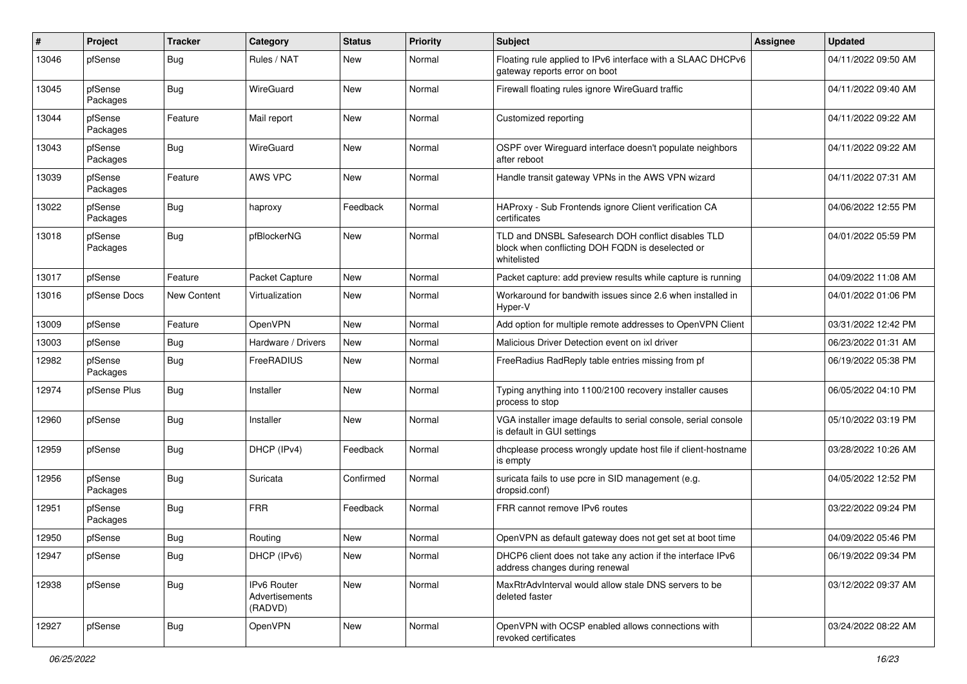| ∦     | Project             | <b>Tracker</b> | Category                                 | <b>Status</b> | <b>Priority</b> | <b>Subject</b>                                                                                                        | Assignee | <b>Updated</b>      |
|-------|---------------------|----------------|------------------------------------------|---------------|-----------------|-----------------------------------------------------------------------------------------------------------------------|----------|---------------------|
| 13046 | pfSense             | <b>Bug</b>     | Rules / NAT                              | New           | Normal          | Floating rule applied to IPv6 interface with a SLAAC DHCPv6<br>gateway reports error on boot                          |          | 04/11/2022 09:50 AM |
| 13045 | pfSense<br>Packages | <b>Bug</b>     | WireGuard                                | New           | Normal          | Firewall floating rules ignore WireGuard traffic                                                                      |          | 04/11/2022 09:40 AM |
| 13044 | pfSense<br>Packages | Feature        | Mail report                              | New           | Normal          | Customized reporting                                                                                                  |          | 04/11/2022 09:22 AM |
| 13043 | pfSense<br>Packages | Bug            | WireGuard                                | New           | Normal          | OSPF over Wireguard interface doesn't populate neighbors<br>after reboot                                              |          | 04/11/2022 09:22 AM |
| 13039 | pfSense<br>Packages | Feature        | AWS VPC                                  | New           | Normal          | Handle transit gateway VPNs in the AWS VPN wizard                                                                     |          | 04/11/2022 07:31 AM |
| 13022 | pfSense<br>Packages | <b>Bug</b>     | haproxy                                  | Feedback      | Normal          | HAProxy - Sub Frontends ignore Client verification CA<br>certificates                                                 |          | 04/06/2022 12:55 PM |
| 13018 | pfSense<br>Packages | <b>Bug</b>     | pfBlockerNG                              | New           | Normal          | TLD and DNSBL Safesearch DOH conflict disables TLD<br>block when conflicting DOH FQDN is deselected or<br>whitelisted |          | 04/01/2022 05:59 PM |
| 13017 | pfSense             | Feature        | Packet Capture                           | New           | Normal          | Packet capture: add preview results while capture is running                                                          |          | 04/09/2022 11:08 AM |
| 13016 | pfSense Docs        | New Content    | Virtualization                           | New           | Normal          | Workaround for bandwith issues since 2.6 when installed in<br>Hyper-V                                                 |          | 04/01/2022 01:06 PM |
| 13009 | pfSense             | Feature        | OpenVPN                                  | New           | Normal          | Add option for multiple remote addresses to OpenVPN Client                                                            |          | 03/31/2022 12:42 PM |
| 13003 | pfSense             | <b>Bug</b>     | Hardware / Drivers                       | New           | Normal          | Malicious Driver Detection event on ixl driver                                                                        |          | 06/23/2022 01:31 AM |
| 12982 | pfSense<br>Packages | <b>Bug</b>     | FreeRADIUS                               | New           | Normal          | FreeRadius RadReply table entries missing from pf                                                                     |          | 06/19/2022 05:38 PM |
| 12974 | pfSense Plus        | Bug            | Installer                                | New           | Normal          | Typing anything into 1100/2100 recovery installer causes<br>process to stop                                           |          | 06/05/2022 04:10 PM |
| 12960 | pfSense             | Bug            | Installer                                | New           | Normal          | VGA installer image defaults to serial console, serial console<br>is default in GUI settings                          |          | 05/10/2022 03:19 PM |
| 12959 | pfSense             | <b>Bug</b>     | DHCP (IPv4)                              | Feedback      | Normal          | dhcplease process wrongly update host file if client-hostname<br>is empty                                             |          | 03/28/2022 10:26 AM |
| 12956 | pfSense<br>Packages | <b>Bug</b>     | Suricata                                 | Confirmed     | Normal          | suricata fails to use pcre in SID management (e.g.<br>dropsid.conf)                                                   |          | 04/05/2022 12:52 PM |
| 12951 | pfSense<br>Packages | <b>Bug</b>     | <b>FRR</b>                               | Feedback      | Normal          | FRR cannot remove IPv6 routes                                                                                         |          | 03/22/2022 09:24 PM |
| 12950 | pfSense             | Bug            | Routing                                  | New           | Normal          | OpenVPN as default gateway does not get set at boot time                                                              |          | 04/09/2022 05:46 PM |
| 12947 | pfSense             | Bug            | DHCP (IPv6)                              | New           | Normal          | DHCP6 client does not take any action if the interface IPv6<br>address changes during renewal                         |          | 06/19/2022 09:34 PM |
| 12938 | pfSense             | <b>Bug</b>     | IPv6 Router<br>Advertisements<br>(RADVD) | New           | Normal          | MaxRtrAdvInterval would allow stale DNS servers to be<br>deleted faster                                               |          | 03/12/2022 09:37 AM |
| 12927 | pfSense             | <b>Bug</b>     | OpenVPN                                  | New           | Normal          | OpenVPN with OCSP enabled allows connections with<br>revoked certificates                                             |          | 03/24/2022 08:22 AM |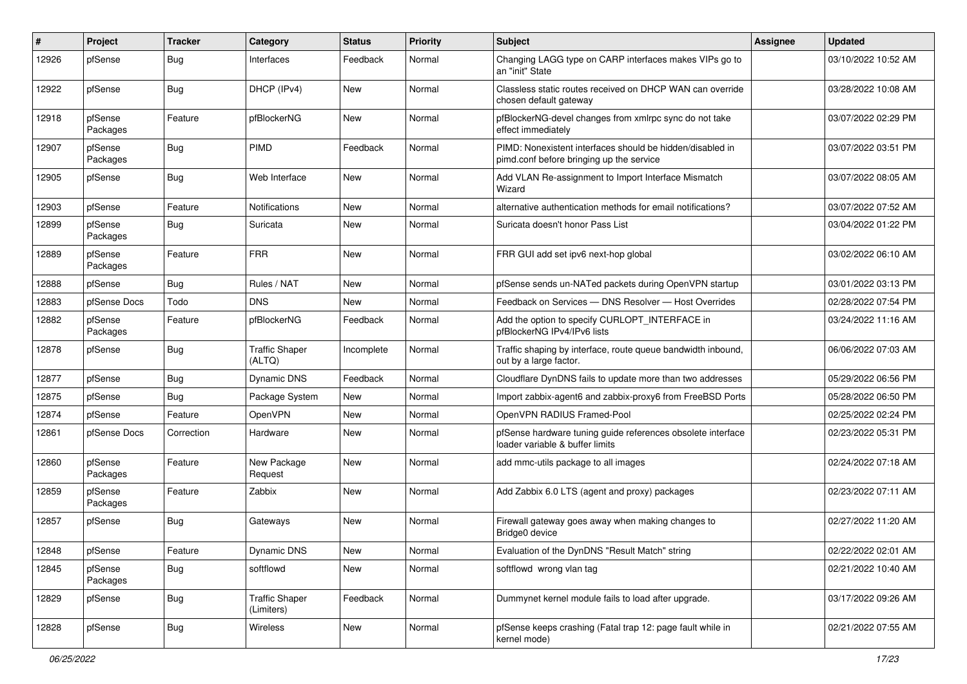| #     | Project             | <b>Tracker</b> | Category                            | <b>Status</b> | <b>Priority</b> | <b>Subject</b>                                                                                        | <b>Assignee</b> | <b>Updated</b>      |
|-------|---------------------|----------------|-------------------------------------|---------------|-----------------|-------------------------------------------------------------------------------------------------------|-----------------|---------------------|
| 12926 | pfSense             | <b>Bug</b>     | Interfaces                          | Feedback      | Normal          | Changing LAGG type on CARP interfaces makes VIPs go to<br>an "init" State                             |                 | 03/10/2022 10:52 AM |
| 12922 | pfSense             | Bug            | DHCP (IPv4)                         | New           | Normal          | Classless static routes received on DHCP WAN can override<br>chosen default gateway                   |                 | 03/28/2022 10:08 AM |
| 12918 | pfSense<br>Packages | Feature        | pfBlockerNG                         | New           | Normal          | pfBlockerNG-devel changes from xmlrpc sync do not take<br>effect immediately                          |                 | 03/07/2022 02:29 PM |
| 12907 | pfSense<br>Packages | <b>Bug</b>     | PIMD                                | Feedback      | Normal          | PIMD: Nonexistent interfaces should be hidden/disabled in<br>pimd.conf before bringing up the service |                 | 03/07/2022 03:51 PM |
| 12905 | pfSense             | <b>Bug</b>     | Web Interface                       | New           | Normal          | Add VLAN Re-assignment to Import Interface Mismatch<br>Wizard                                         |                 | 03/07/2022 08:05 AM |
| 12903 | pfSense             | Feature        | Notifications                       | New           | Normal          | alternative authentication methods for email notifications?                                           |                 | 03/07/2022 07:52 AM |
| 12899 | pfSense<br>Packages | <b>Bug</b>     | Suricata                            | New           | Normal          | Suricata doesn't honor Pass List                                                                      |                 | 03/04/2022 01:22 PM |
| 12889 | pfSense<br>Packages | Feature        | <b>FRR</b>                          | New           | Normal          | FRR GUI add set ipv6 next-hop global                                                                  |                 | 03/02/2022 06:10 AM |
| 12888 | pfSense             | Bug            | Rules / NAT                         | New           | Normal          | pfSense sends un-NATed packets during OpenVPN startup                                                 |                 | 03/01/2022 03:13 PM |
| 12883 | pfSense Docs        | Todo           | <b>DNS</b>                          | New           | Normal          | Feedback on Services - DNS Resolver - Host Overrides                                                  |                 | 02/28/2022 07:54 PM |
| 12882 | pfSense<br>Packages | Feature        | pfBlockerNG                         | Feedback      | Normal          | Add the option to specify CURLOPT_INTERFACE in<br>pfBlockerNG IPv4/IPv6 lists                         |                 | 03/24/2022 11:16 AM |
| 12878 | pfSense             | <b>Bug</b>     | <b>Traffic Shaper</b><br>(ALTQ)     | Incomplete    | Normal          | Traffic shaping by interface, route queue bandwidth inbound,<br>out by a large factor.                |                 | 06/06/2022 07:03 AM |
| 12877 | pfSense             | <b>Bug</b>     | Dynamic DNS                         | Feedback      | Normal          | Cloudflare DynDNS fails to update more than two addresses                                             |                 | 05/29/2022 06:56 PM |
| 12875 | pfSense             | <b>Bug</b>     | Package System                      | New           | Normal          | Import zabbix-agent6 and zabbix-proxy6 from FreeBSD Ports                                             |                 | 05/28/2022 06:50 PM |
| 12874 | pfSense             | Feature        | OpenVPN                             | New           | Normal          | OpenVPN RADIUS Framed-Pool                                                                            |                 | 02/25/2022 02:24 PM |
| 12861 | pfSense Docs        | Correction     | Hardware                            | New           | Normal          | pfSense hardware tuning guide references obsolete interface<br>loader variable & buffer limits        |                 | 02/23/2022 05:31 PM |
| 12860 | pfSense<br>Packages | Feature        | New Package<br>Request              | <b>New</b>    | Normal          | add mmc-utils package to all images                                                                   |                 | 02/24/2022 07:18 AM |
| 12859 | pfSense<br>Packages | Feature        | Zabbix                              | New           | Normal          | Add Zabbix 6.0 LTS (agent and proxy) packages                                                         |                 | 02/23/2022 07:11 AM |
| 12857 | pfSense             | <b>Bug</b>     | Gateways                            | New           | Normal          | Firewall gateway goes away when making changes to<br>Bridge0 device                                   |                 | 02/27/2022 11:20 AM |
| 12848 | pfSense             | Feature        | <b>Dynamic DNS</b>                  | New           | Normal          | Evaluation of the DynDNS "Result Match" string                                                        |                 | 02/22/2022 02:01 AM |
| 12845 | pfSense<br>Packages | <b>Bug</b>     | softflowd                           | New           | Normal          | softflowd wrong vlan tag                                                                              |                 | 02/21/2022 10:40 AM |
| 12829 | pfSense             | <b>Bug</b>     | <b>Traffic Shaper</b><br>(Limiters) | Feedback      | Normal          | Dummynet kernel module fails to load after upgrade.                                                   |                 | 03/17/2022 09:26 AM |
| 12828 | pfSense             | Bug            | Wireless                            | New           | Normal          | pfSense keeps crashing (Fatal trap 12: page fault while in<br>kernel mode)                            |                 | 02/21/2022 07:55 AM |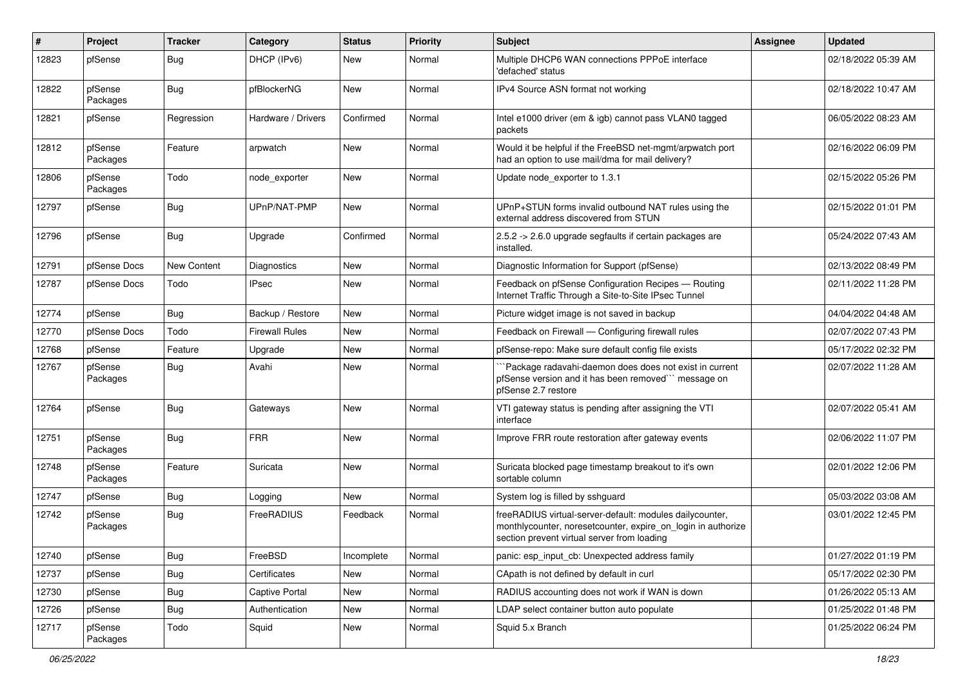| $\vert$ # | Project             | <b>Tracker</b> | Category              | <b>Status</b> | <b>Priority</b> | <b>Subject</b>                                                                                                                                                          | Assignee | <b>Updated</b>      |
|-----------|---------------------|----------------|-----------------------|---------------|-----------------|-------------------------------------------------------------------------------------------------------------------------------------------------------------------------|----------|---------------------|
| 12823     | pfSense             | <b>Bug</b>     | DHCP (IPv6)           | New           | Normal          | Multiple DHCP6 WAN connections PPPoE interface<br>'defached' status                                                                                                     |          | 02/18/2022 05:39 AM |
| 12822     | pfSense<br>Packages | <b>Bug</b>     | pfBlockerNG           | New           | Normal          | IPv4 Source ASN format not working                                                                                                                                      |          | 02/18/2022 10:47 AM |
| 12821     | pfSense             | Regression     | Hardware / Drivers    | Confirmed     | Normal          | Intel e1000 driver (em & igb) cannot pass VLAN0 tagged<br>packets                                                                                                       |          | 06/05/2022 08:23 AM |
| 12812     | pfSense<br>Packages | Feature        | arpwatch              | New           | Normal          | Would it be helpful if the FreeBSD net-mgmt/arpwatch port<br>had an option to use mail/dma for mail delivery?                                                           |          | 02/16/2022 06:09 PM |
| 12806     | pfSense<br>Packages | Todo           | node_exporter         | New           | Normal          | Update node exporter to 1.3.1                                                                                                                                           |          | 02/15/2022 05:26 PM |
| 12797     | pfSense             | <b>Bug</b>     | UPnP/NAT-PMP          | New           | Normal          | UPnP+STUN forms invalid outbound NAT rules using the<br>external address discovered from STUN                                                                           |          | 02/15/2022 01:01 PM |
| 12796     | pfSense             | <b>Bug</b>     | Upgrade               | Confirmed     | Normal          | 2.5.2 -> 2.6.0 upgrade segfaults if certain packages are<br>installed.                                                                                                  |          | 05/24/2022 07:43 AM |
| 12791     | pfSense Docs        | New Content    | Diagnostics           | New           | Normal          | Diagnostic Information for Support (pfSense)                                                                                                                            |          | 02/13/2022 08:49 PM |
| 12787     | pfSense Docs        | Todo           | <b>IPsec</b>          | New           | Normal          | Feedback on pfSense Configuration Recipes - Routing<br>Internet Traffic Through a Site-to-Site IPsec Tunnel                                                             |          | 02/11/2022 11:28 PM |
| 12774     | pfSense             | <b>Bug</b>     | Backup / Restore      | New           | Normal          | Picture widget image is not saved in backup                                                                                                                             |          | 04/04/2022 04:48 AM |
| 12770     | pfSense Docs        | Todo           | <b>Firewall Rules</b> | <b>New</b>    | Normal          | Feedback on Firewall - Configuring firewall rules                                                                                                                       |          | 02/07/2022 07:43 PM |
| 12768     | pfSense             | Feature        | Upgrade               | New           | Normal          | pfSense-repo: Make sure default config file exists                                                                                                                      |          | 05/17/2022 02:32 PM |
| 12767     | pfSense<br>Packages | <b>Bug</b>     | Avahi                 | New           | Normal          | Package radavahi-daemon does does not exist in current<br>pfSense version and it has been removed" message on<br>pfSense 2.7 restore                                    |          | 02/07/2022 11:28 AM |
| 12764     | pfSense             | <b>Bug</b>     | Gateways              | New           | Normal          | VTI gateway status is pending after assigning the VTI<br>interface                                                                                                      |          | 02/07/2022 05:41 AM |
| 12751     | pfSense<br>Packages | <b>Bug</b>     | <b>FRR</b>            | New           | Normal          | Improve FRR route restoration after gateway events                                                                                                                      |          | 02/06/2022 11:07 PM |
| 12748     | pfSense<br>Packages | Feature        | Suricata              | New           | Normal          | Suricata blocked page timestamp breakout to it's own<br>sortable column                                                                                                 |          | 02/01/2022 12:06 PM |
| 12747     | pfSense             | <b>Bug</b>     | Logging               | New           | Normal          | System log is filled by sshguard                                                                                                                                        |          | 05/03/2022 03:08 AM |
| 12742     | pfSense<br>Packages | <b>Bug</b>     | FreeRADIUS            | Feedback      | Normal          | freeRADIUS virtual-server-default: modules dailycounter,<br>monthlycounter, noresetcounter, expire_on_login in authorize<br>section prevent virtual server from loading |          | 03/01/2022 12:45 PM |
| 12740     | pfSense             | <b>Bug</b>     | FreeBSD               | Incomplete    | Normal          | panic: esp_input_cb: Unexpected address family                                                                                                                          |          | 01/27/2022 01:19 PM |
| 12737     | pfSense             | <b>Bug</b>     | Certificates          | New           | Normal          | CApath is not defined by default in curl                                                                                                                                |          | 05/17/2022 02:30 PM |
| 12730     | pfSense             | Bug            | Captive Portal        | New           | Normal          | RADIUS accounting does not work if WAN is down                                                                                                                          |          | 01/26/2022 05:13 AM |
| 12726     | pfSense             | <b>Bug</b>     | Authentication        | New           | Normal          | LDAP select container button auto populate                                                                                                                              |          | 01/25/2022 01:48 PM |
| 12717     | pfSense<br>Packages | Todo           | Squid                 | New           | Normal          | Squid 5.x Branch                                                                                                                                                        |          | 01/25/2022 06:24 PM |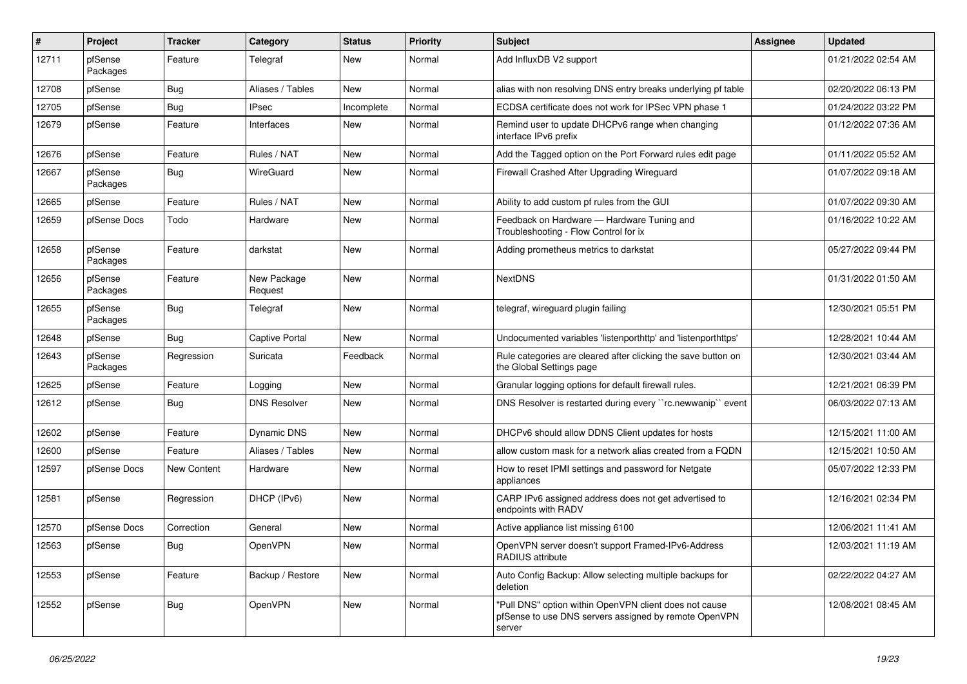| ∦     | Project             | <b>Tracker</b> | Category               | <b>Status</b> | <b>Priority</b> | Subject                                                                                                                   | Assignee | <b>Updated</b>      |
|-------|---------------------|----------------|------------------------|---------------|-----------------|---------------------------------------------------------------------------------------------------------------------------|----------|---------------------|
| 12711 | pfSense<br>Packages | Feature        | Telegraf               | New           | Normal          | Add InfluxDB V2 support                                                                                                   |          | 01/21/2022 02:54 AM |
| 12708 | pfSense             | <b>Bug</b>     | Aliases / Tables       | New           | Normal          | alias with non resolving DNS entry breaks underlying pf table                                                             |          | 02/20/2022 06:13 PM |
| 12705 | pfSense             | <b>Bug</b>     | <b>IPsec</b>           | Incomplete    | Normal          | ECDSA certificate does not work for IPSec VPN phase 1                                                                     |          | 01/24/2022 03:22 PM |
| 12679 | pfSense             | Feature        | Interfaces             | New           | Normal          | Remind user to update DHCPv6 range when changing<br>interface IPv6 prefix                                                 |          | 01/12/2022 07:36 AM |
| 12676 | pfSense             | Feature        | Rules / NAT            | New           | Normal          | Add the Tagged option on the Port Forward rules edit page                                                                 |          | 01/11/2022 05:52 AM |
| 12667 | pfSense<br>Packages | <b>Bug</b>     | WireGuard              | New           | Normal          | Firewall Crashed After Upgrading Wireguard                                                                                |          | 01/07/2022 09:18 AM |
| 12665 | pfSense             | Feature        | Rules / NAT            | New           | Normal          | Ability to add custom pf rules from the GUI                                                                               |          | 01/07/2022 09:30 AM |
| 12659 | pfSense Docs        | Todo           | Hardware               | New           | Normal          | Feedback on Hardware - Hardware Tuning and<br>Troubleshooting - Flow Control for ix                                       |          | 01/16/2022 10:22 AM |
| 12658 | pfSense<br>Packages | Feature        | darkstat               | New           | Normal          | Adding prometheus metrics to darkstat                                                                                     |          | 05/27/2022 09:44 PM |
| 12656 | pfSense<br>Packages | Feature        | New Package<br>Request | New           | Normal          | <b>NextDNS</b>                                                                                                            |          | 01/31/2022 01:50 AM |
| 12655 | pfSense<br>Packages | <b>Bug</b>     | Telegraf               | New           | Normal          | telegraf, wireguard plugin failing                                                                                        |          | 12/30/2021 05:51 PM |
| 12648 | pfSense             | Bug            | Captive Portal         | New           | Normal          | Undocumented variables 'listenporthttp' and 'listenporthttps'                                                             |          | 12/28/2021 10:44 AM |
| 12643 | pfSense<br>Packages | Regression     | Suricata               | Feedback      | Normal          | Rule categories are cleared after clicking the save button on<br>the Global Settings page                                 |          | 12/30/2021 03:44 AM |
| 12625 | pfSense             | Feature        | Logging                | New           | Normal          | Granular logging options for default firewall rules.                                                                      |          | 12/21/2021 06:39 PM |
| 12612 | pfSense             | Bug            | <b>DNS Resolver</b>    | New           | Normal          | DNS Resolver is restarted during every "rc.newwanip" event                                                                |          | 06/03/2022 07:13 AM |
| 12602 | pfSense             | Feature        | Dynamic DNS            | New           | Normal          | DHCPv6 should allow DDNS Client updates for hosts                                                                         |          | 12/15/2021 11:00 AM |
| 12600 | pfSense             | Feature        | Aliases / Tables       | New           | Normal          | allow custom mask for a network alias created from a FQDN                                                                 |          | 12/15/2021 10:50 AM |
| 12597 | pfSense Docs        | New Content    | Hardware               | New           | Normal          | How to reset IPMI settings and password for Netgate<br>appliances                                                         |          | 05/07/2022 12:33 PM |
| 12581 | pfSense             | Regression     | DHCP (IPv6)            | New           | Normal          | CARP IPv6 assigned address does not get advertised to<br>endpoints with RADV                                              |          | 12/16/2021 02:34 PM |
| 12570 | pfSense Docs        | Correction     | General                | New           | Normal          | Active appliance list missing 6100                                                                                        |          | 12/06/2021 11:41 AM |
| 12563 | pfSense             | <b>Bug</b>     | OpenVPN                | New           | Normal          | OpenVPN server doesn't support Framed-IPv6-Address<br>RADIUS attribute                                                    |          | 12/03/2021 11:19 AM |
| 12553 | pfSense             | Feature        | Backup / Restore       | New           | Normal          | Auto Config Backup: Allow selecting multiple backups for<br>deletion                                                      |          | 02/22/2022 04:27 AM |
| 12552 | pfSense             | Bug            | <b>OpenVPN</b>         | New           | Normal          | "Pull DNS" option within OpenVPN client does not cause<br>pfSense to use DNS servers assigned by remote OpenVPN<br>server |          | 12/08/2021 08:45 AM |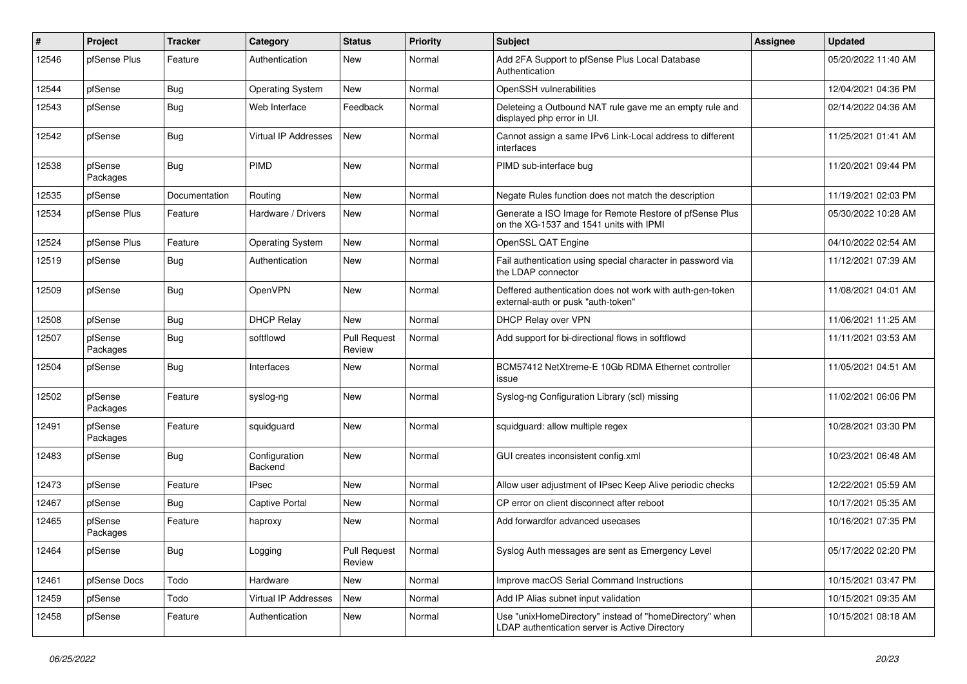| #     | Project             | <b>Tracker</b> | Category                 | <b>Status</b>                 | <b>Priority</b> | <b>Subject</b>                                                                                            | Assignee | <b>Updated</b>      |
|-------|---------------------|----------------|--------------------------|-------------------------------|-----------------|-----------------------------------------------------------------------------------------------------------|----------|---------------------|
| 12546 | pfSense Plus        | Feature        | Authentication           | New                           | Normal          | Add 2FA Support to pfSense Plus Local Database<br>Authentication                                          |          | 05/20/2022 11:40 AM |
| 12544 | pfSense             | Bug            | <b>Operating System</b>  | New                           | Normal          | OpenSSH vulnerabilities                                                                                   |          | 12/04/2021 04:36 PM |
| 12543 | pfSense             | <b>Bug</b>     | Web Interface            | Feedback                      | Normal          | Deleteing a Outbound NAT rule gave me an empty rule and<br>displayed php error in UI.                     |          | 02/14/2022 04:36 AM |
| 12542 | pfSense             | <b>Bug</b>     | Virtual IP Addresses     | New                           | Normal          | Cannot assign a same IPv6 Link-Local address to different<br>interfaces                                   |          | 11/25/2021 01:41 AM |
| 12538 | pfSense<br>Packages | <b>Bug</b>     | PIMD                     | <b>New</b>                    | Normal          | PIMD sub-interface bug                                                                                    |          | 11/20/2021 09:44 PM |
| 12535 | pfSense             | Documentation  | Routing                  | <b>New</b>                    | Normal          | Negate Rules function does not match the description                                                      |          | 11/19/2021 02:03 PM |
| 12534 | pfSense Plus        | Feature        | Hardware / Drivers       | New                           | Normal          | Generate a ISO Image for Remote Restore of pfSense Plus<br>on the XG-1537 and 1541 units with IPMI        |          | 05/30/2022 10:28 AM |
| 12524 | pfSense Plus        | Feature        | <b>Operating System</b>  | <b>New</b>                    | Normal          | OpenSSL QAT Engine                                                                                        |          | 04/10/2022 02:54 AM |
| 12519 | pfSense             | <b>Bug</b>     | Authentication           | New                           | Normal          | Fail authentication using special character in password via<br>the LDAP connector                         |          | 11/12/2021 07:39 AM |
| 12509 | pfSense             | <b>Bug</b>     | OpenVPN                  | New                           | Normal          | Deffered authentication does not work with auth-gen-token<br>external-auth or pusk "auth-token"           |          | 11/08/2021 04:01 AM |
| 12508 | pfSense             | Bug            | <b>DHCP Relay</b>        | New                           | Normal          | DHCP Relay over VPN                                                                                       |          | 11/06/2021 11:25 AM |
| 12507 | pfSense<br>Packages | <b>Bug</b>     | softflowd                | <b>Pull Request</b><br>Review | Normal          | Add support for bi-directional flows in softflowd                                                         |          | 11/11/2021 03:53 AM |
| 12504 | pfSense             | Bug            | Interfaces               | New                           | Normal          | BCM57412 NetXtreme-E 10Gb RDMA Ethernet controller<br>issue                                               |          | 11/05/2021 04:51 AM |
| 12502 | pfSense<br>Packages | Feature        | syslog-ng                | New                           | Normal          | Syslog-ng Configuration Library (scl) missing                                                             |          | 11/02/2021 06:06 PM |
| 12491 | pfSense<br>Packages | Feature        | squidguard               | New                           | Normal          | squidguard: allow multiple regex                                                                          |          | 10/28/2021 03:30 PM |
| 12483 | pfSense             | <b>Bug</b>     | Configuration<br>Backend | <b>New</b>                    | Normal          | GUI creates inconsistent config.xml                                                                       |          | 10/23/2021 06:48 AM |
| 12473 | pfSense             | Feature        | IPsec                    | New                           | Normal          | Allow user adjustment of IPsec Keep Alive periodic checks                                                 |          | 12/22/2021 05:59 AM |
| 12467 | pfSense             | Bug            | Captive Portal           | New                           | Normal          | CP error on client disconnect after reboot                                                                |          | 10/17/2021 05:35 AM |
| 12465 | pfSense<br>Packages | Feature        | haproxy                  | New                           | Normal          | Add forwardfor advanced usecases                                                                          |          | 10/16/2021 07:35 PM |
| 12464 | pfSense             | <b>Bug</b>     | Logging                  | <b>Pull Request</b><br>Review | Normal          | Syslog Auth messages are sent as Emergency Level                                                          |          | 05/17/2022 02:20 PM |
| 12461 | pfSense Docs        | Todo           | Hardware                 | New                           | Normal          | Improve macOS Serial Command Instructions                                                                 |          | 10/15/2021 03:47 PM |
| 12459 | pfSense             | Todo           | Virtual IP Addresses     | New                           | Normal          | Add IP Alias subnet input validation                                                                      |          | 10/15/2021 09:35 AM |
| 12458 | pfSense             | Feature        | Authentication           | New                           | Normal          | Use "unixHomeDirectory" instead of "homeDirectory" when<br>LDAP authentication server is Active Directory |          | 10/15/2021 08:18 AM |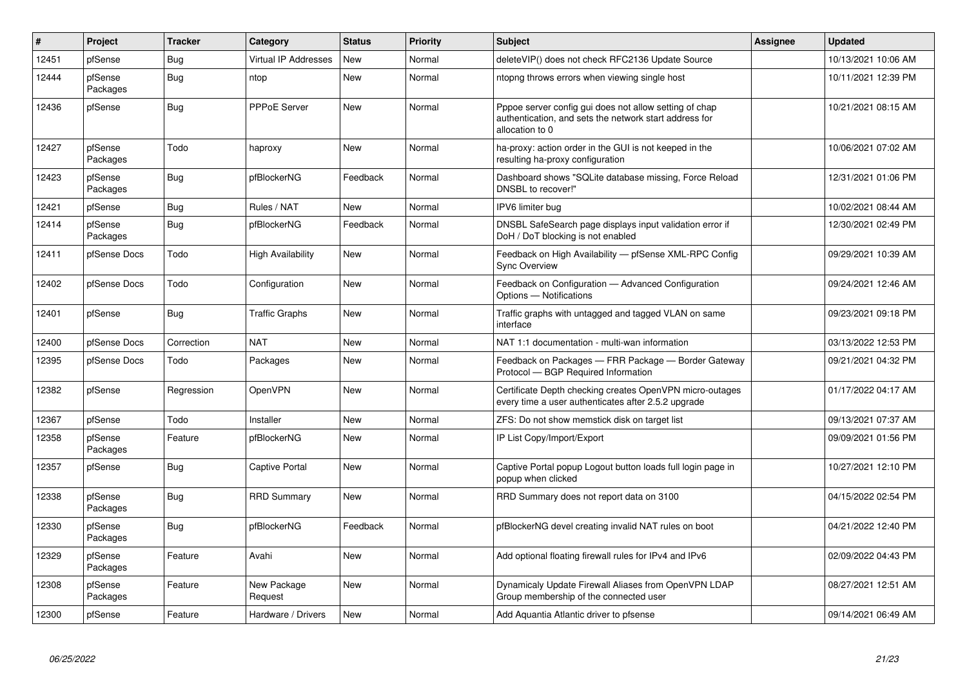| $\#$  | <b>Project</b>      | <b>Tracker</b> | Category                    | <b>Status</b> | <b>Priority</b> | <b>Subject</b>                                                                                                                      | <b>Assignee</b> | <b>Updated</b>      |
|-------|---------------------|----------------|-----------------------------|---------------|-----------------|-------------------------------------------------------------------------------------------------------------------------------------|-----------------|---------------------|
| 12451 | pfSense             | <b>Bug</b>     | <b>Virtual IP Addresses</b> | <b>New</b>    | Normal          | deleteVIP() does not check RFC2136 Update Source                                                                                    |                 | 10/13/2021 10:06 AM |
| 12444 | pfSense<br>Packages | <b>Bug</b>     | ntop                        | <b>New</b>    | Normal          | ntopng throws errors when viewing single host                                                                                       |                 | 10/11/2021 12:39 PM |
| 12436 | pfSense             | <b>Bug</b>     | PPPoE Server                | <b>New</b>    | Normal          | Pppoe server config gui does not allow setting of chap<br>authentication, and sets the network start address for<br>allocation to 0 |                 | 10/21/2021 08:15 AM |
| 12427 | pfSense<br>Packages | Todo           | haproxy                     | New           | Normal          | ha-proxy: action order in the GUI is not keeped in the<br>resulting ha-proxy configuration                                          |                 | 10/06/2021 07:02 AM |
| 12423 | pfSense<br>Packages | Bug            | pfBlockerNG                 | Feedback      | Normal          | Dashboard shows "SQLite database missing, Force Reload<br>DNSBL to recover!"                                                        |                 | 12/31/2021 01:06 PM |
| 12421 | pfSense             | Bug            | Rules / NAT                 | <b>New</b>    | Normal          | IPV6 limiter bug                                                                                                                    |                 | 10/02/2021 08:44 AM |
| 12414 | pfSense<br>Packages | Bug            | pfBlockerNG                 | Feedback      | Normal          | DNSBL SafeSearch page displays input validation error if<br>DoH / DoT blocking is not enabled                                       |                 | 12/30/2021 02:49 PM |
| 12411 | pfSense Docs        | Todo           | High Availability           | <b>New</b>    | Normal          | Feedback on High Availability - pfSense XML-RPC Config<br><b>Sync Overview</b>                                                      |                 | 09/29/2021 10:39 AM |
| 12402 | pfSense Docs        | Todo           | Configuration               | <b>New</b>    | Normal          | Feedback on Configuration - Advanced Configuration<br>Options - Notifications                                                       |                 | 09/24/2021 12:46 AM |
| 12401 | pfSense             | <b>Bug</b>     | <b>Traffic Graphs</b>       | <b>New</b>    | Normal          | Traffic graphs with untagged and tagged VLAN on same<br>interface                                                                   |                 | 09/23/2021 09:18 PM |
| 12400 | pfSense Docs        | Correction     | <b>NAT</b>                  | New           | Normal          | NAT 1:1 documentation - multi-wan information                                                                                       |                 | 03/13/2022 12:53 PM |
| 12395 | pfSense Docs        | Todo           | Packages                    | <b>New</b>    | Normal          | Feedback on Packages - FRR Package - Border Gateway<br>Protocol - BGP Required Information                                          |                 | 09/21/2021 04:32 PM |
| 12382 | pfSense             | Regression     | <b>OpenVPN</b>              | <b>New</b>    | Normal          | Certificate Depth checking creates OpenVPN micro-outages<br>every time a user authenticates after 2.5.2 upgrade                     |                 | 01/17/2022 04:17 AM |
| 12367 | pfSense             | Todo           | Installer                   | <b>New</b>    | Normal          | ZFS: Do not show memstick disk on target list                                                                                       |                 | 09/13/2021 07:37 AM |
| 12358 | pfSense<br>Packages | Feature        | pfBlockerNG                 | <b>New</b>    | Normal          | IP List Copy/Import/Export                                                                                                          |                 | 09/09/2021 01:56 PM |
| 12357 | pfSense             | <b>Bug</b>     | Captive Portal              | <b>New</b>    | Normal          | Captive Portal popup Logout button loads full login page in<br>popup when clicked                                                   |                 | 10/27/2021 12:10 PM |
| 12338 | pfSense<br>Packages | <b>Bug</b>     | <b>RRD Summary</b>          | New           | Normal          | RRD Summary does not report data on 3100                                                                                            |                 | 04/15/2022 02:54 PM |
| 12330 | pfSense<br>Packages | <b>Bug</b>     | pfBlockerNG                 | Feedback      | Normal          | pfBlockerNG devel creating invalid NAT rules on boot                                                                                |                 | 04/21/2022 12:40 PM |
| 12329 | pfSense<br>Packages | Feature        | Avahi                       | New           | Normal          | Add optional floating firewall rules for IPv4 and IPv6                                                                              |                 | 02/09/2022 04:43 PM |
| 12308 | pfSense<br>Packages | Feature        | New Package<br>Request      | New           | Normal          | Dynamicaly Update Firewall Aliases from OpenVPN LDAP<br>Group membership of the connected user                                      |                 | 08/27/2021 12:51 AM |
| 12300 | pfSense             | Feature        | Hardware / Drivers          | New           | Normal          | Add Aquantia Atlantic driver to pfsense                                                                                             |                 | 09/14/2021 06:49 AM |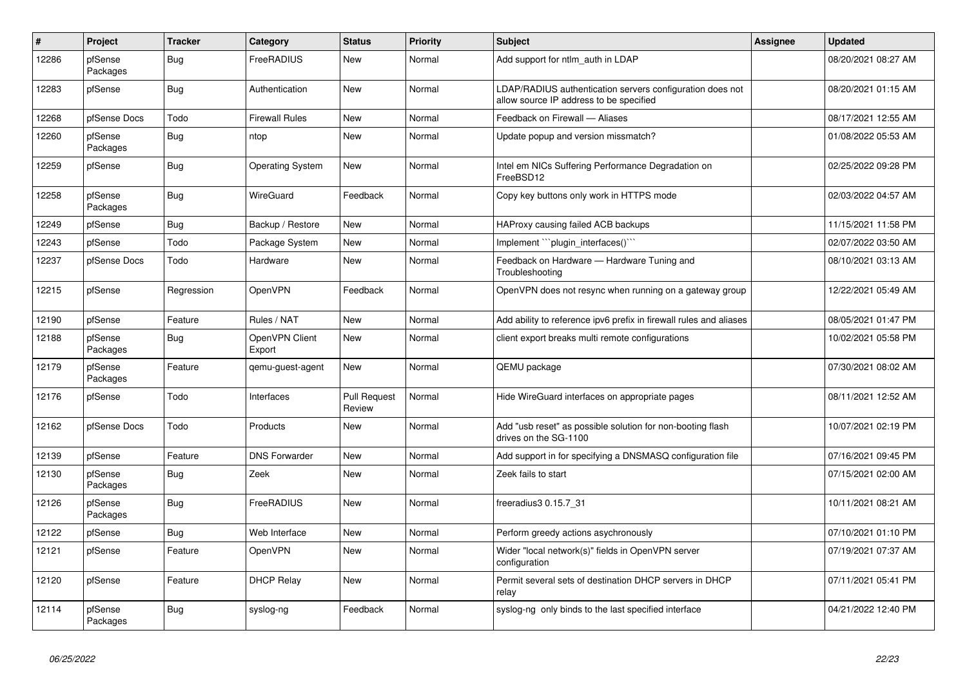| #     | Project             | <b>Tracker</b> | Category                 | <b>Status</b>                 | <b>Priority</b> | <b>Subject</b>                                                                                       | <b>Assignee</b> | <b>Updated</b>      |
|-------|---------------------|----------------|--------------------------|-------------------------------|-----------------|------------------------------------------------------------------------------------------------------|-----------------|---------------------|
| 12286 | pfSense<br>Packages | Bug            | FreeRADIUS               | New                           | Normal          | Add support for ntlm_auth in LDAP                                                                    |                 | 08/20/2021 08:27 AM |
| 12283 | pfSense             | <b>Bug</b>     | Authentication           | New                           | Normal          | LDAP/RADIUS authentication servers configuration does not<br>allow source IP address to be specified |                 | 08/20/2021 01:15 AM |
| 12268 | pfSense Docs        | Todo           | <b>Firewall Rules</b>    | New                           | Normal          | Feedback on Firewall - Aliases                                                                       |                 | 08/17/2021 12:55 AM |
| 12260 | pfSense<br>Packages | <b>Bug</b>     | ntop                     | New                           | Normal          | Update popup and version missmatch?                                                                  |                 | 01/08/2022 05:53 AM |
| 12259 | pfSense             | <b>Bug</b>     | <b>Operating System</b>  | <b>New</b>                    | Normal          | Intel em NICs Suffering Performance Degradation on<br>FreeBSD12                                      |                 | 02/25/2022 09:28 PM |
| 12258 | pfSense<br>Packages | Bug            | <b>WireGuard</b>         | Feedback                      | Normal          | Copy key buttons only work in HTTPS mode                                                             |                 | 02/03/2022 04:57 AM |
| 12249 | pfSense             | Bug            | Backup / Restore         | New                           | Normal          | HAProxy causing failed ACB backups                                                                   |                 | 11/15/2021 11:58 PM |
| 12243 | pfSense             | Todo           | Package System           | New                           | Normal          | Implement "`plugin_interfaces()`"                                                                    |                 | 02/07/2022 03:50 AM |
| 12237 | pfSense Docs        | Todo           | Hardware                 | New                           | Normal          | Feedback on Hardware - Hardware Tuning and<br>Troubleshooting                                        |                 | 08/10/2021 03:13 AM |
| 12215 | pfSense             | Regression     | OpenVPN                  | Feedback                      | Normal          | OpenVPN does not resync when running on a gateway group                                              |                 | 12/22/2021 05:49 AM |
| 12190 | pfSense             | Feature        | Rules / NAT              | <b>New</b>                    | Normal          | Add ability to reference ipv6 prefix in firewall rules and aliases                                   |                 | 08/05/2021 01:47 PM |
| 12188 | pfSense<br>Packages | <b>Bug</b>     | OpenVPN Client<br>Export | New                           | Normal          | client export breaks multi remote configurations                                                     |                 | 10/02/2021 05:58 PM |
| 12179 | pfSense<br>Packages | Feature        | gemu-guest-agent         | <b>New</b>                    | Normal          | QEMU package                                                                                         |                 | 07/30/2021 08:02 AM |
| 12176 | pfSense             | Todo           | Interfaces               | <b>Pull Request</b><br>Review | Normal          | Hide WireGuard interfaces on appropriate pages                                                       |                 | 08/11/2021 12:52 AM |
| 12162 | pfSense Docs        | Todo           | Products                 | New                           | Normal          | Add "usb reset" as possible solution for non-booting flash<br>drives on the SG-1100                  |                 | 10/07/2021 02:19 PM |
| 12139 | pfSense             | Feature        | <b>DNS Forwarder</b>     | <b>New</b>                    | Normal          | Add support in for specifying a DNSMASQ configuration file                                           |                 | 07/16/2021 09:45 PM |
| 12130 | pfSense<br>Packages | <b>Bug</b>     | Zeek                     | New                           | Normal          | Zeek fails to start                                                                                  |                 | 07/15/2021 02:00 AM |
| 12126 | pfSense<br>Packages | <b>Bug</b>     | FreeRADIUS               | New                           | Normal          | freeradius3 0.15.7 31                                                                                |                 | 10/11/2021 08:21 AM |
| 12122 | pfSense             | Bug            | Web Interface            | New                           | Normal          | Perform greedy actions asychronously                                                                 |                 | 07/10/2021 01:10 PM |
| 12121 | pfSense             | Feature        | OpenVPN                  | New                           | Normal          | Wider "local network(s)" fields in OpenVPN server<br>configuration                                   |                 | 07/19/2021 07:37 AM |
| 12120 | pfSense             | Feature        | <b>DHCP Relay</b>        | New                           | Normal          | Permit several sets of destination DHCP servers in DHCP<br>relay                                     |                 | 07/11/2021 05:41 PM |
| 12114 | pfSense<br>Packages | <b>Bug</b>     | syslog-ng                | Feedback                      | Normal          | syslog-ng only binds to the last specified interface                                                 |                 | 04/21/2022 12:40 PM |